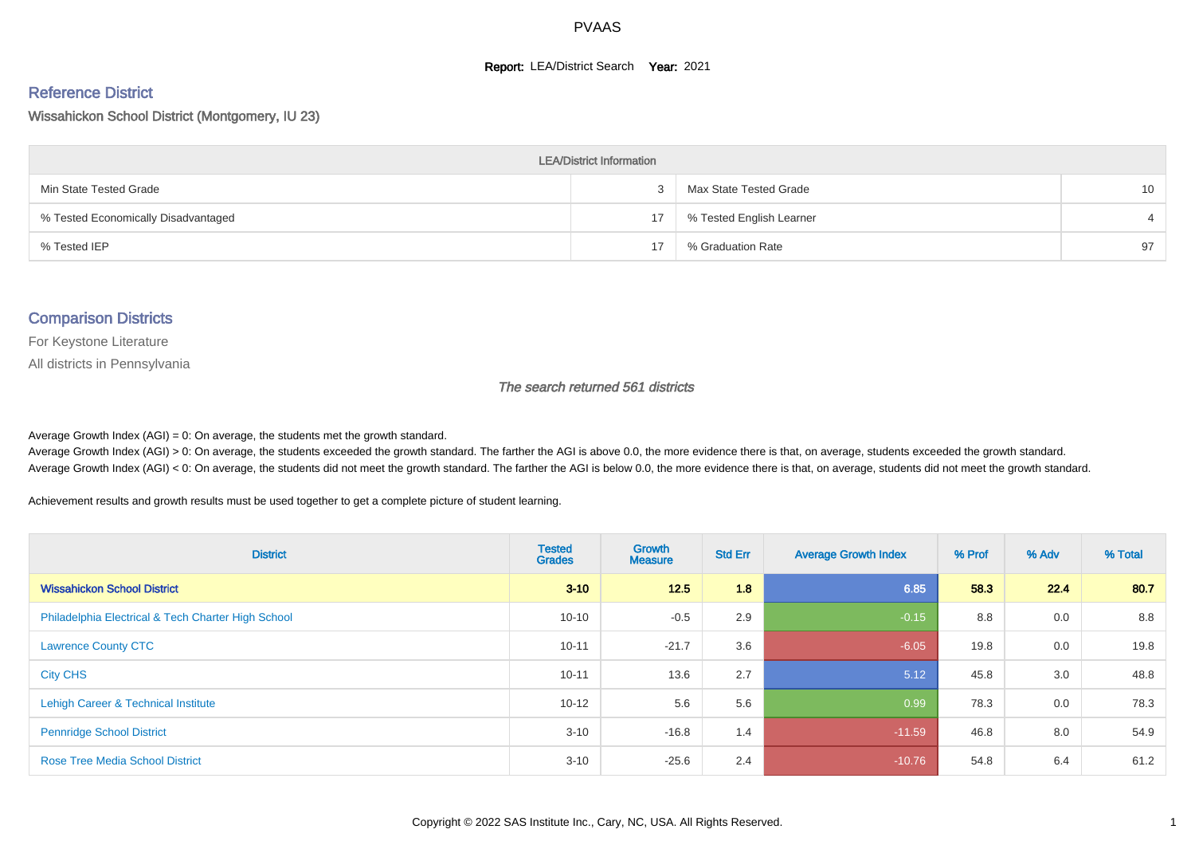#### **Report: LEA/District Search Year: 2021**

#### Reference District

Wissahickon School District (Montgomery, IU 23)

| <b>LEA/District Information</b>     |    |                          |                 |  |  |  |  |  |  |  |
|-------------------------------------|----|--------------------------|-----------------|--|--|--|--|--|--|--|
| Min State Tested Grade              |    | Max State Tested Grade   | 10 <sup>°</sup> |  |  |  |  |  |  |  |
| % Tested Economically Disadvantaged | 17 | % Tested English Learner |                 |  |  |  |  |  |  |  |
| % Tested IEP                        | 17 | % Graduation Rate        | 97              |  |  |  |  |  |  |  |

#### Comparison Districts

For Keystone Literature

All districts in Pennsylvania

The search returned 561 districts

Average Growth Index  $(AGI) = 0$ : On average, the students met the growth standard.

Average Growth Index (AGI) > 0: On average, the students exceeded the growth standard. The farther the AGI is above 0.0, the more evidence there is that, on average, students exceeded the growth standard. Average Growth Index (AGI) < 0: On average, the students did not meet the growth standard. The farther the AGI is below 0.0, the more evidence there is that, on average, students did not meet the growth standard.

Achievement results and growth results must be used together to get a complete picture of student learning.

| <b>District</b>                                    | <b>Tested</b><br><b>Grades</b> | Growth<br><b>Measure</b> | <b>Std Err</b> | <b>Average Growth Index</b> | % Prof | % Adv | % Total |
|----------------------------------------------------|--------------------------------|--------------------------|----------------|-----------------------------|--------|-------|---------|
| <b>Wissahickon School District</b>                 | $3 - 10$                       | 12.5                     | 1.8            | 6.85                        | 58.3   | 22.4  | 80.7    |
| Philadelphia Electrical & Tech Charter High School | $10 - 10$                      | $-0.5$                   | 2.9            | $-0.15$                     | 8.8    | 0.0   | 8.8     |
| <b>Lawrence County CTC</b>                         | $10 - 11$                      | $-21.7$                  | 3.6            | $-6.05$                     | 19.8   | 0.0   | 19.8    |
| <b>City CHS</b>                                    | $10 - 11$                      | 13.6                     | 2.7            | 5.12                        | 45.8   | 3.0   | 48.8    |
| Lehigh Career & Technical Institute                | $10 - 12$                      | 5.6                      | 5.6            | 0.99                        | 78.3   | 0.0   | 78.3    |
| <b>Pennridge School District</b>                   | $3 - 10$                       | $-16.8$                  | 1.4            | $-11.59$                    | 46.8   | 8.0   | 54.9    |
| <b>Rose Tree Media School District</b>             | $3 - 10$                       | $-25.6$                  | 2.4            | $-10.76$                    | 54.8   | 6.4   | 61.2    |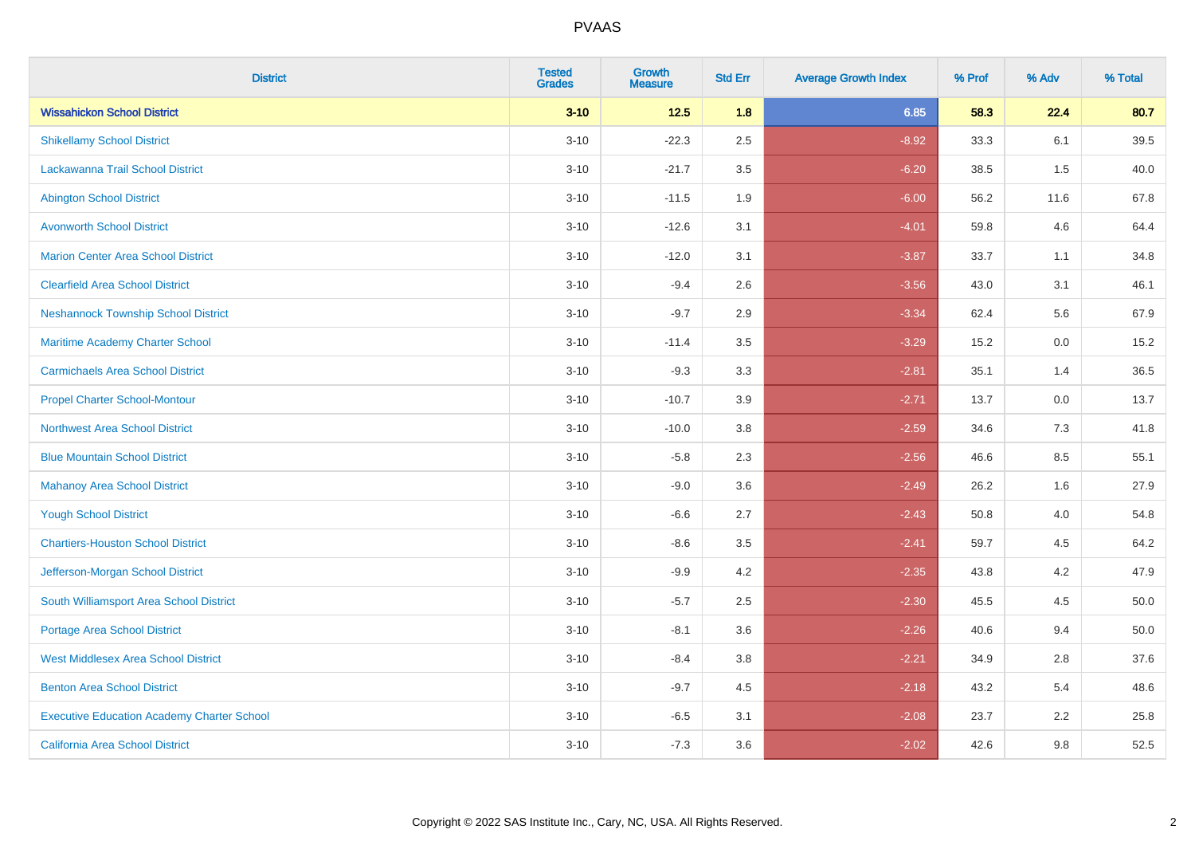| <b>District</b>                                   | <b>Tested</b><br><b>Grades</b> | <b>Growth</b><br><b>Measure</b> | <b>Std Err</b> | <b>Average Growth Index</b> | % Prof | % Adv | % Total |
|---------------------------------------------------|--------------------------------|---------------------------------|----------------|-----------------------------|--------|-------|---------|
| <b>Wissahickon School District</b>                | $3 - 10$                       | $12.5$                          | 1.8            | 6.85                        | 58.3   | 22.4  | 80.7    |
| <b>Shikellamy School District</b>                 | $3 - 10$                       | $-22.3$                         | 2.5            | $-8.92$                     | 33.3   | 6.1   | 39.5    |
| Lackawanna Trail School District                  | $3 - 10$                       | $-21.7$                         | 3.5            | $-6.20$                     | 38.5   | 1.5   | 40.0    |
| <b>Abington School District</b>                   | $3 - 10$                       | $-11.5$                         | 1.9            | $-6.00$                     | 56.2   | 11.6  | 67.8    |
| <b>Avonworth School District</b>                  | $3 - 10$                       | $-12.6$                         | 3.1            | $-4.01$                     | 59.8   | 4.6   | 64.4    |
| <b>Marion Center Area School District</b>         | $3 - 10$                       | $-12.0$                         | 3.1            | $-3.87$                     | 33.7   | 1.1   | 34.8    |
| <b>Clearfield Area School District</b>            | $3 - 10$                       | $-9.4$                          | 2.6            | $-3.56$                     | 43.0   | 3.1   | 46.1    |
| <b>Neshannock Township School District</b>        | $3 - 10$                       | $-9.7$                          | 2.9            | $-3.34$                     | 62.4   | 5.6   | 67.9    |
| Maritime Academy Charter School                   | $3 - 10$                       | $-11.4$                         | 3.5            | $-3.29$                     | 15.2   | 0.0   | 15.2    |
| <b>Carmichaels Area School District</b>           | $3 - 10$                       | $-9.3$                          | 3.3            | $-2.81$                     | 35.1   | 1.4   | 36.5    |
| <b>Propel Charter School-Montour</b>              | $3 - 10$                       | $-10.7$                         | 3.9            | $-2.71$                     | 13.7   | 0.0   | 13.7    |
| <b>Northwest Area School District</b>             | $3 - 10$                       | $-10.0$                         | 3.8            | $-2.59$                     | 34.6   | 7.3   | 41.8    |
| <b>Blue Mountain School District</b>              | $3 - 10$                       | $-5.8$                          | 2.3            | $-2.56$                     | 46.6   | 8.5   | 55.1    |
| <b>Mahanoy Area School District</b>               | $3 - 10$                       | $-9.0$                          | 3.6            | $-2.49$                     | 26.2   | 1.6   | 27.9    |
| <b>Yough School District</b>                      | $3 - 10$                       | $-6.6$                          | 2.7            | $-2.43$                     | 50.8   | 4.0   | 54.8    |
| <b>Chartiers-Houston School District</b>          | $3 - 10$                       | $-8.6$                          | 3.5            | $-2.41$                     | 59.7   | 4.5   | 64.2    |
| Jefferson-Morgan School District                  | $3 - 10$                       | $-9.9$                          | 4.2            | $-2.35$                     | 43.8   | 4.2   | 47.9    |
| South Williamsport Area School District           | $3 - 10$                       | $-5.7$                          | 2.5            | $-2.30$                     | 45.5   | 4.5   | 50.0    |
| <b>Portage Area School District</b>               | $3 - 10$                       | $-8.1$                          | 3.6            | $-2.26$                     | 40.6   | 9.4   | 50.0    |
| <b>West Middlesex Area School District</b>        | $3 - 10$                       | $-8.4$                          | 3.8            | $-2.21$                     | 34.9   | 2.8   | 37.6    |
| <b>Benton Area School District</b>                | $3 - 10$                       | $-9.7$                          | 4.5            | $-2.18$                     | 43.2   | 5.4   | 48.6    |
| <b>Executive Education Academy Charter School</b> | $3 - 10$                       | $-6.5$                          | 3.1            | $-2.08$                     | 23.7   | 2.2   | 25.8    |
| California Area School District                   | $3 - 10$                       | $-7.3$                          | 3.6            | $-2.02$                     | 42.6   | 9.8   | 52.5    |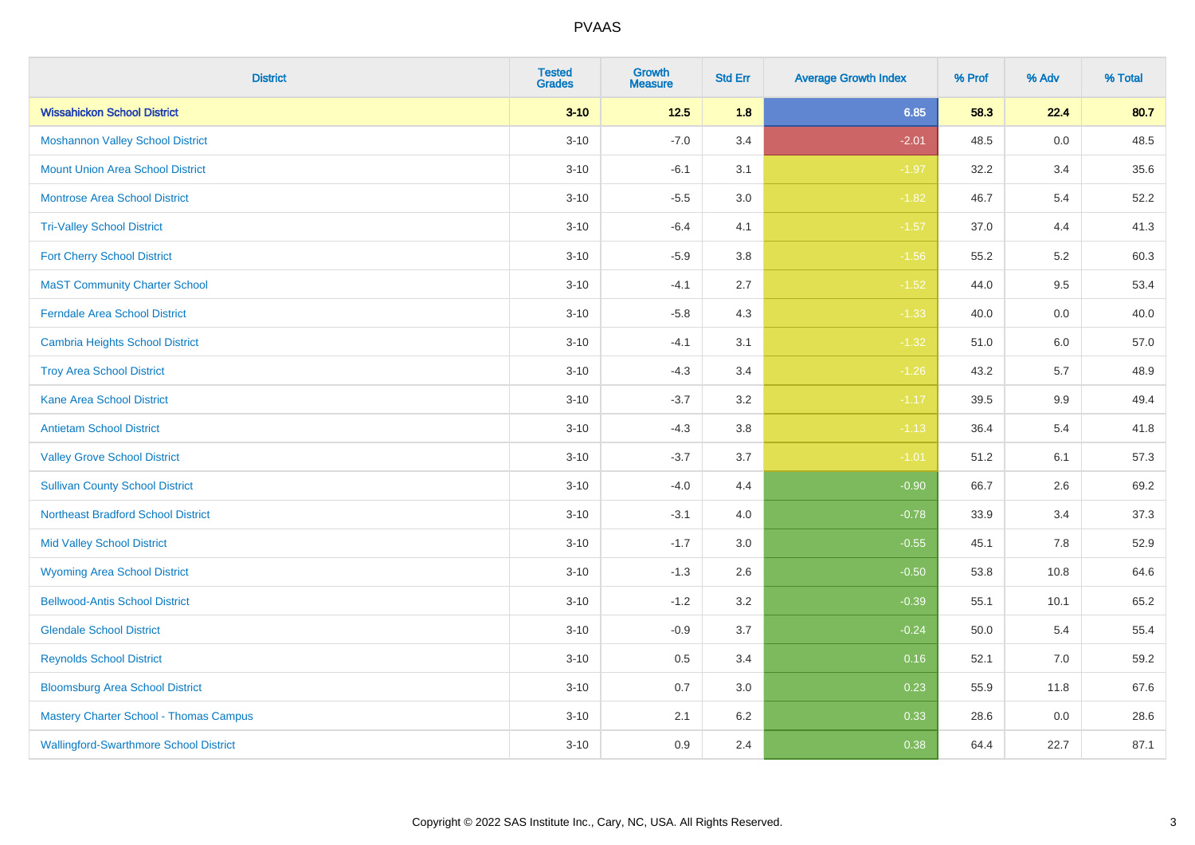| <b>District</b>                               | <b>Tested</b><br><b>Grades</b> | <b>Growth</b><br><b>Measure</b> | <b>Std Err</b> | <b>Average Growth Index</b> | % Prof | % Adv   | % Total |
|-----------------------------------------------|--------------------------------|---------------------------------|----------------|-----------------------------|--------|---------|---------|
| <b>Wissahickon School District</b>            | $3 - 10$                       | $12.5$                          | 1.8            | 6.85                        | 58.3   | 22.4    | 80.7    |
| <b>Moshannon Valley School District</b>       | $3 - 10$                       | $-7.0$                          | 3.4            | $-2.01$                     | 48.5   | 0.0     | 48.5    |
| <b>Mount Union Area School District</b>       | $3 - 10$                       | $-6.1$                          | 3.1            | $-1.97$                     | 32.2   | 3.4     | 35.6    |
| <b>Montrose Area School District</b>          | $3 - 10$                       | $-5.5$                          | 3.0            | $-1.82$                     | 46.7   | 5.4     | 52.2    |
| <b>Tri-Valley School District</b>             | $3 - 10$                       | $-6.4$                          | 4.1            | $-1.57$                     | 37.0   | 4.4     | 41.3    |
| <b>Fort Cherry School District</b>            | $3 - 10$                       | $-5.9$                          | 3.8            | $-1.56$                     | 55.2   | 5.2     | 60.3    |
| <b>MaST Community Charter School</b>          | $3 - 10$                       | $-4.1$                          | 2.7            | $-1.52$                     | 44.0   | 9.5     | 53.4    |
| <b>Ferndale Area School District</b>          | $3 - 10$                       | $-5.8$                          | 4.3            | $-1.33$                     | 40.0   | 0.0     | 40.0    |
| <b>Cambria Heights School District</b>        | $3 - 10$                       | $-4.1$                          | 3.1            | $-1.32$                     | 51.0   | 6.0     | 57.0    |
| <b>Troy Area School District</b>              | $3 - 10$                       | $-4.3$                          | 3.4            | $-1.26$                     | 43.2   | 5.7     | 48.9    |
| <b>Kane Area School District</b>              | $3 - 10$                       | $-3.7$                          | 3.2            | $-1.17$                     | 39.5   | 9.9     | 49.4    |
| <b>Antietam School District</b>               | $3 - 10$                       | $-4.3$                          | 3.8            | $-1.13$                     | 36.4   | 5.4     | 41.8    |
| <b>Valley Grove School District</b>           | $3 - 10$                       | $-3.7$                          | 3.7            | $-1.01$                     | 51.2   | 6.1     | 57.3    |
| <b>Sullivan County School District</b>        | $3 - 10$                       | $-4.0$                          | 4.4            | $-0.90$                     | 66.7   | 2.6     | 69.2    |
| <b>Northeast Bradford School District</b>     | $3 - 10$                       | $-3.1$                          | 4.0            | $-0.78$                     | 33.9   | 3.4     | 37.3    |
| <b>Mid Valley School District</b>             | $3 - 10$                       | $-1.7$                          | 3.0            | $-0.55$                     | 45.1   | $7.8\,$ | 52.9    |
| <b>Wyoming Area School District</b>           | $3 - 10$                       | $-1.3$                          | 2.6            | $-0.50$                     | 53.8   | 10.8    | 64.6    |
| <b>Bellwood-Antis School District</b>         | $3 - 10$                       | $-1.2$                          | 3.2            | $-0.39$                     | 55.1   | 10.1    | 65.2    |
| <b>Glendale School District</b>               | $3 - 10$                       | $-0.9$                          | 3.7            | $-0.24$                     | 50.0   | 5.4     | 55.4    |
| <b>Reynolds School District</b>               | $3 - 10$                       | 0.5                             | 3.4            | 0.16                        | 52.1   | 7.0     | 59.2    |
| <b>Bloomsburg Area School District</b>        | $3 - 10$                       | 0.7                             | 3.0            | 0.23                        | 55.9   | 11.8    | 67.6    |
| <b>Mastery Charter School - Thomas Campus</b> | $3 - 10$                       | 2.1                             | 6.2            | 0.33                        | 28.6   | 0.0     | 28.6    |
| <b>Wallingford-Swarthmore School District</b> | $3 - 10$                       | 0.9                             | 2.4            | 0.38                        | 64.4   | 22.7    | 87.1    |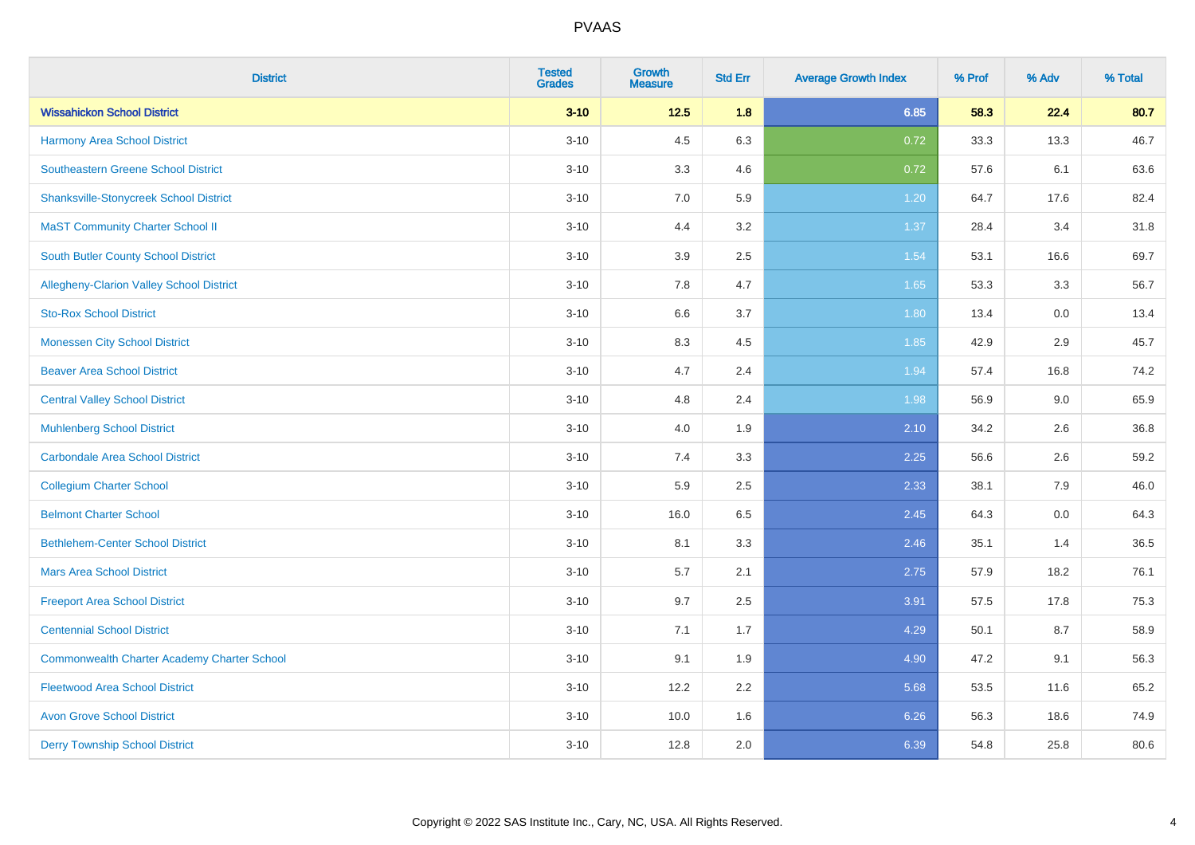| <b>District</b>                                    | <b>Tested</b><br><b>Grades</b> | <b>Growth</b><br><b>Measure</b> | <b>Std Err</b> | <b>Average Growth Index</b> | % Prof | % Adv | % Total |
|----------------------------------------------------|--------------------------------|---------------------------------|----------------|-----------------------------|--------|-------|---------|
| <b>Wissahickon School District</b>                 | $3 - 10$                       | $12.5$                          | 1.8            | 6.85                        | 58.3   | 22.4  | 80.7    |
| Harmony Area School District                       | $3 - 10$                       | 4.5                             | 6.3            | 0.72                        | 33.3   | 13.3  | 46.7    |
| Southeastern Greene School District                | $3 - 10$                       | 3.3                             | 4.6            | 0.72                        | 57.6   | 6.1   | 63.6    |
| <b>Shanksville-Stonycreek School District</b>      | $3 - 10$                       | 7.0                             | 5.9            | 1.20                        | 64.7   | 17.6  | 82.4    |
| <b>MaST Community Charter School II</b>            | $3 - 10$                       | 4.4                             | 3.2            | 1.37                        | 28.4   | 3.4   | 31.8    |
| <b>South Butler County School District</b>         | $3 - 10$                       | 3.9                             | 2.5            | 1.54                        | 53.1   | 16.6  | 69.7    |
| Allegheny-Clarion Valley School District           | $3 - 10$                       | 7.8                             | 4.7            | 1.65                        | 53.3   | 3.3   | 56.7    |
| <b>Sto-Rox School District</b>                     | $3 - 10$                       | 6.6                             | 3.7            | 1.80                        | 13.4   | 0.0   | 13.4    |
| <b>Monessen City School District</b>               | $3 - 10$                       | 8.3                             | 4.5            | 1.85                        | 42.9   | 2.9   | 45.7    |
| <b>Beaver Area School District</b>                 | $3 - 10$                       | 4.7                             | 2.4            | 1.94                        | 57.4   | 16.8  | 74.2    |
| <b>Central Valley School District</b>              | $3 - 10$                       | 4.8                             | 2.4            | 1.98                        | 56.9   | 9.0   | 65.9    |
| <b>Muhlenberg School District</b>                  | $3 - 10$                       | 4.0                             | 1.9            | 2.10                        | 34.2   | 2.6   | 36.8    |
| Carbondale Area School District                    | $3 - 10$                       | 7.4                             | 3.3            | 2.25                        | 56.6   | 2.6   | 59.2    |
| <b>Collegium Charter School</b>                    | $3 - 10$                       | 5.9                             | 2.5            | 2.33                        | 38.1   | 7.9   | 46.0    |
| <b>Belmont Charter School</b>                      | $3 - 10$                       | 16.0                            | 6.5            | 2.45                        | 64.3   | 0.0   | 64.3    |
| <b>Bethlehem-Center School District</b>            | $3 - 10$                       | 8.1                             | 3.3            | 2.46                        | 35.1   | 1.4   | 36.5    |
| <b>Mars Area School District</b>                   | $3 - 10$                       | 5.7                             | 2.1            | 2.75                        | 57.9   | 18.2  | 76.1    |
| <b>Freeport Area School District</b>               | $3 - 10$                       | 9.7                             | 2.5            | 3.91                        | 57.5   | 17.8  | 75.3    |
| <b>Centennial School District</b>                  | $3 - 10$                       | 7.1                             | 1.7            | 4.29                        | 50.1   | 8.7   | 58.9    |
| <b>Commonwealth Charter Academy Charter School</b> | $3 - 10$                       | 9.1                             | 1.9            | 4.90                        | 47.2   | 9.1   | 56.3    |
| <b>Fleetwood Area School District</b>              | $3 - 10$                       | 12.2                            | 2.2            | 5.68                        | 53.5   | 11.6  | 65.2    |
| <b>Avon Grove School District</b>                  | $3 - 10$                       | 10.0                            | 1.6            | 6.26                        | 56.3   | 18.6  | 74.9    |
| <b>Derry Township School District</b>              | $3 - 10$                       | 12.8                            | 2.0            | 6.39                        | 54.8   | 25.8  | 80.6    |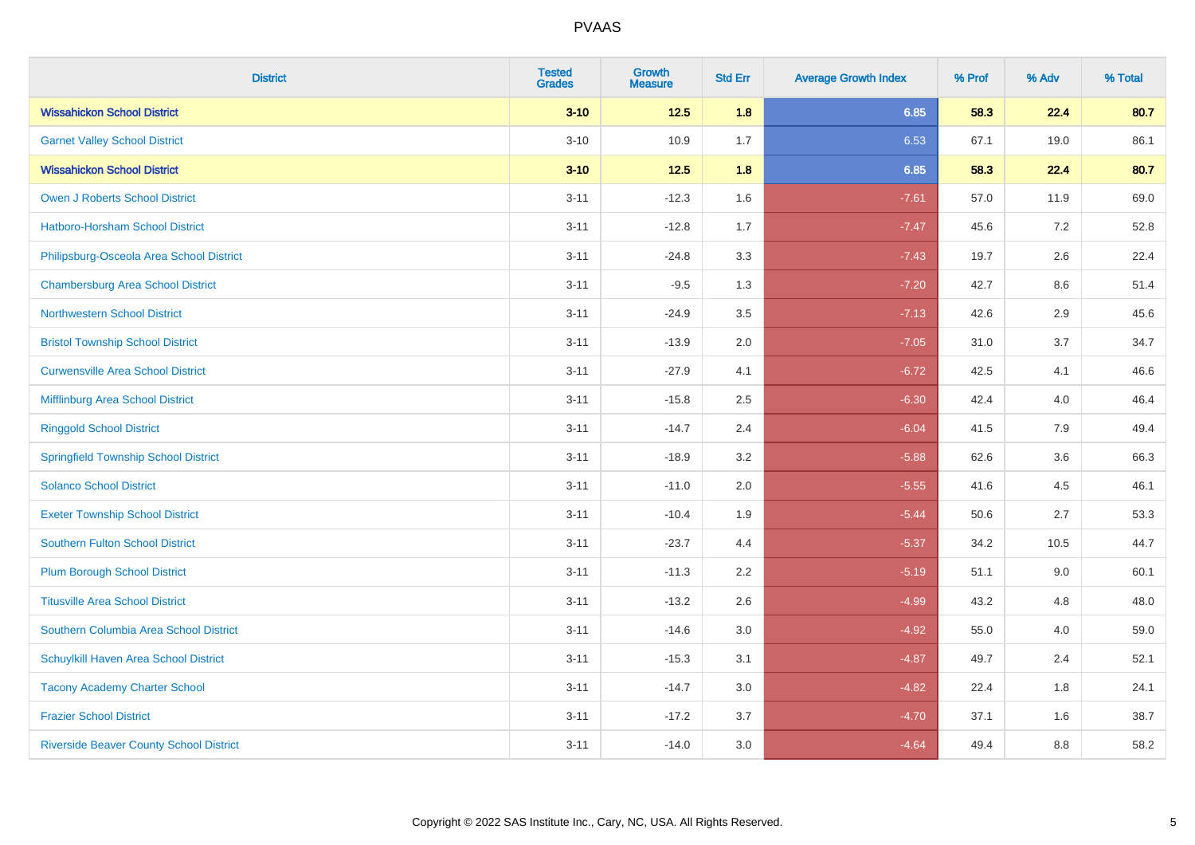| <b>District</b>                                | <b>Tested</b><br><b>Grades</b> | <b>Growth</b><br><b>Measure</b> | <b>Std Err</b> | <b>Average Growth Index</b> | % Prof | % Adv | % Total |
|------------------------------------------------|--------------------------------|---------------------------------|----------------|-----------------------------|--------|-------|---------|
| <b>Wissahickon School District</b>             | $3 - 10$                       | $12.5$                          | 1.8            | 6.85                        | 58.3   | 22.4  | 80.7    |
| <b>Garnet Valley School District</b>           | $3 - 10$                       | 10.9                            | 1.7            | 6.53                        | 67.1   | 19.0  | 86.1    |
| <b>Wissahickon School District</b>             | $3 - 10$                       | $12.5$                          | 1.8            | 6.85                        | 58.3   | 22.4  | 80.7    |
| Owen J Roberts School District                 | $3 - 11$                       | $-12.3$                         | 1.6            | $-7.61$                     | 57.0   | 11.9  | 69.0    |
| <b>Hatboro-Horsham School District</b>         | $3 - 11$                       | $-12.8$                         | 1.7            | $-7.47$                     | 45.6   | 7.2   | 52.8    |
| Philipsburg-Osceola Area School District       | $3 - 11$                       | $-24.8$                         | 3.3            | $-7.43$                     | 19.7   | 2.6   | 22.4    |
| <b>Chambersburg Area School District</b>       | $3 - 11$                       | $-9.5$                          | 1.3            | $-7.20$                     | 42.7   | 8.6   | 51.4    |
| <b>Northwestern School District</b>            | $3 - 11$                       | $-24.9$                         | 3.5            | $-7.13$                     | 42.6   | 2.9   | 45.6    |
| <b>Bristol Township School District</b>        | $3 - 11$                       | $-13.9$                         | 2.0            | $-7.05$                     | 31.0   | 3.7   | 34.7    |
| <b>Curwensville Area School District</b>       | $3 - 11$                       | $-27.9$                         | 4.1            | $-6.72$                     | 42.5   | 4.1   | 46.6    |
| Mifflinburg Area School District               | $3 - 11$                       | $-15.8$                         | 2.5            | $-6.30$                     | 42.4   | 4.0   | 46.4    |
| <b>Ringgold School District</b>                | $3 - 11$                       | $-14.7$                         | 2.4            | $-6.04$                     | 41.5   | 7.9   | 49.4    |
| <b>Springfield Township School District</b>    | $3 - 11$                       | $-18.9$                         | 3.2            | $-5.88$                     | 62.6   | 3.6   | 66.3    |
| <b>Solanco School District</b>                 | $3 - 11$                       | $-11.0$                         | 2.0            | $-5.55$                     | 41.6   | 4.5   | 46.1    |
| <b>Exeter Township School District</b>         | $3 - 11$                       | $-10.4$                         | 1.9            | $-5.44$                     | 50.6   | 2.7   | 53.3    |
| <b>Southern Fulton School District</b>         | $3 - 11$                       | $-23.7$                         | 4.4            | $-5.37$                     | 34.2   | 10.5  | 44.7    |
| <b>Plum Borough School District</b>            | $3 - 11$                       | $-11.3$                         | 2.2            | $-5.19$                     | 51.1   | 9.0   | 60.1    |
| <b>Titusville Area School District</b>         | $3 - 11$                       | $-13.2$                         | 2.6            | $-4.99$                     | 43.2   | 4.8   | 48.0    |
| Southern Columbia Area School District         | $3 - 11$                       | $-14.6$                         | 3.0            | $-4.92$                     | 55.0   | 4.0   | 59.0    |
| Schuylkill Haven Area School District          | $3 - 11$                       | $-15.3$                         | 3.1            | $-4.87$                     | 49.7   | 2.4   | 52.1    |
| <b>Tacony Academy Charter School</b>           | $3 - 11$                       | $-14.7$                         | 3.0            | $-4.82$                     | 22.4   | 1.8   | 24.1    |
| <b>Frazier School District</b>                 | $3 - 11$                       | $-17.2$                         | 3.7            | $-4.70$                     | 37.1   | 1.6   | 38.7    |
| <b>Riverside Beaver County School District</b> | $3 - 11$                       | $-14.0$                         | 3.0            | $-4.64$                     | 49.4   | 8.8   | 58.2    |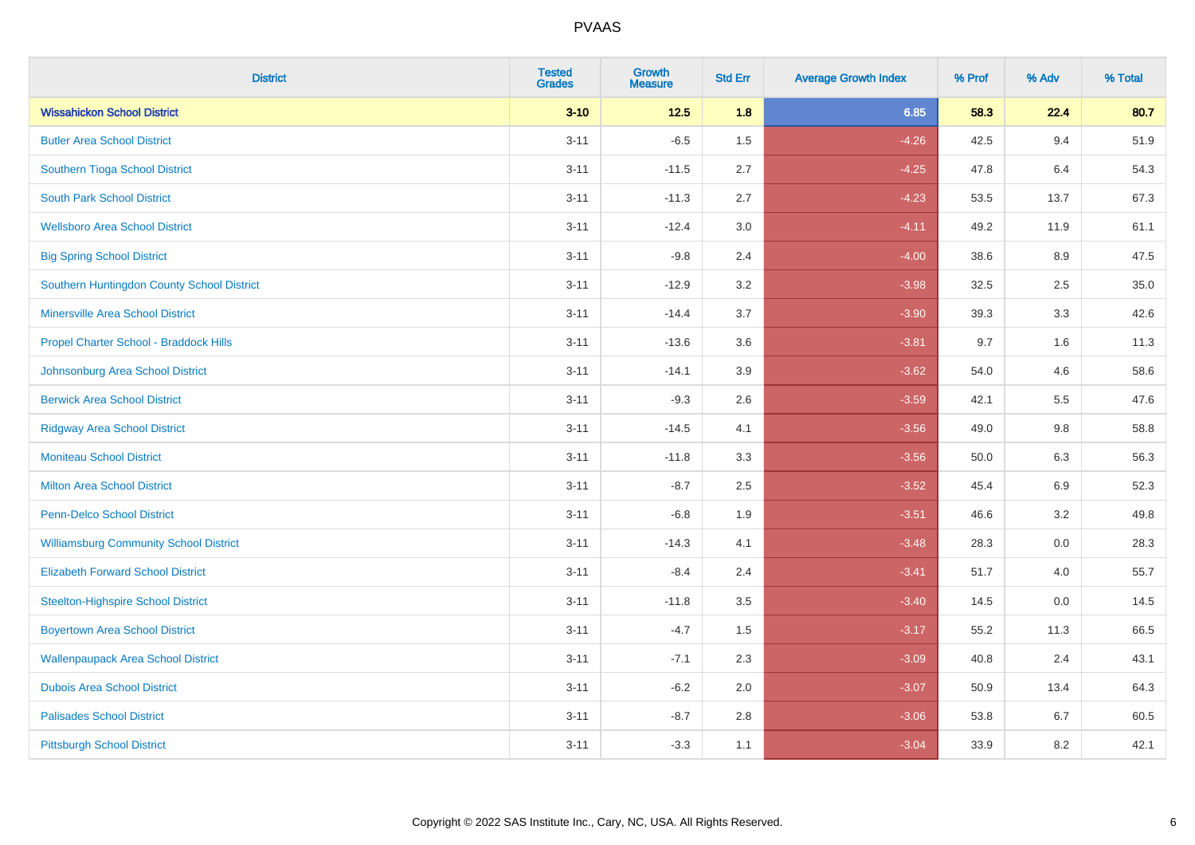| <b>District</b>                               | <b>Tested</b><br><b>Grades</b> | <b>Growth</b><br><b>Measure</b> | <b>Std Err</b> | <b>Average Growth Index</b> | % Prof | % Adv   | % Total |
|-----------------------------------------------|--------------------------------|---------------------------------|----------------|-----------------------------|--------|---------|---------|
| <b>Wissahickon School District</b>            | $3 - 10$                       | $12.5$                          | 1.8            | 6.85                        | 58.3   | 22.4    | 80.7    |
| <b>Butler Area School District</b>            | $3 - 11$                       | $-6.5$                          | 1.5            | $-4.26$                     | 42.5   | 9.4     | 51.9    |
| Southern Tioga School District                | $3 - 11$                       | $-11.5$                         | 2.7            | $-4.25$                     | 47.8   | 6.4     | 54.3    |
| <b>South Park School District</b>             | $3 - 11$                       | $-11.3$                         | 2.7            | $-4.23$                     | 53.5   | 13.7    | 67.3    |
| <b>Wellsboro Area School District</b>         | $3 - 11$                       | $-12.4$                         | 3.0            | $-4.11$                     | 49.2   | 11.9    | 61.1    |
| <b>Big Spring School District</b>             | $3 - 11$                       | $-9.8$                          | 2.4            | $-4.00$                     | 38.6   | 8.9     | 47.5    |
| Southern Huntingdon County School District    | $3 - 11$                       | $-12.9$                         | 3.2            | $-3.98$                     | 32.5   | 2.5     | 35.0    |
| <b>Minersville Area School District</b>       | $3 - 11$                       | $-14.4$                         | 3.7            | $-3.90$                     | 39.3   | 3.3     | 42.6    |
| Propel Charter School - Braddock Hills        | $3 - 11$                       | $-13.6$                         | 3.6            | $-3.81$                     | 9.7    | 1.6     | 11.3    |
| Johnsonburg Area School District              | $3 - 11$                       | $-14.1$                         | 3.9            | $-3.62$                     | 54.0   | 4.6     | 58.6    |
| <b>Berwick Area School District</b>           | $3 - 11$                       | $-9.3$                          | 2.6            | $-3.59$                     | 42.1   | 5.5     | 47.6    |
| <b>Ridgway Area School District</b>           | $3 - 11$                       | $-14.5$                         | 4.1            | $-3.56$                     | 49.0   | 9.8     | 58.8    |
| <b>Moniteau School District</b>               | $3 - 11$                       | $-11.8$                         | 3.3            | $-3.56$                     | 50.0   | $6.3\,$ | 56.3    |
| <b>Milton Area School District</b>            | $3 - 11$                       | $-8.7$                          | 2.5            | $-3.52$                     | 45.4   | 6.9     | 52.3    |
| <b>Penn-Delco School District</b>             | $3 - 11$                       | $-6.8$                          | 1.9            | $-3.51$                     | 46.6   | 3.2     | 49.8    |
| <b>Williamsburg Community School District</b> | $3 - 11$                       | $-14.3$                         | 4.1            | $-3.48$                     | 28.3   | $0.0\,$ | 28.3    |
| <b>Elizabeth Forward School District</b>      | $3 - 11$                       | $-8.4$                          | 2.4            | $-3.41$                     | 51.7   | 4.0     | 55.7    |
| <b>Steelton-Highspire School District</b>     | $3 - 11$                       | $-11.8$                         | 3.5            | $-3.40$                     | 14.5   | 0.0     | 14.5    |
| <b>Boyertown Area School District</b>         | $3 - 11$                       | $-4.7$                          | 1.5            | $-3.17$                     | 55.2   | 11.3    | 66.5    |
| <b>Wallenpaupack Area School District</b>     | $3 - 11$                       | $-7.1$                          | 2.3            | $-3.09$                     | 40.8   | 2.4     | 43.1    |
| <b>Dubois Area School District</b>            | $3 - 11$                       | $-6.2$                          | 2.0            | $-3.07$                     | 50.9   | 13.4    | 64.3    |
| <b>Palisades School District</b>              | $3 - 11$                       | $-8.7$                          | 2.8            | $-3.06$                     | 53.8   | 6.7     | 60.5    |
| <b>Pittsburgh School District</b>             | $3 - 11$                       | $-3.3$                          | 1.1            | $-3.04$                     | 33.9   | 8.2     | 42.1    |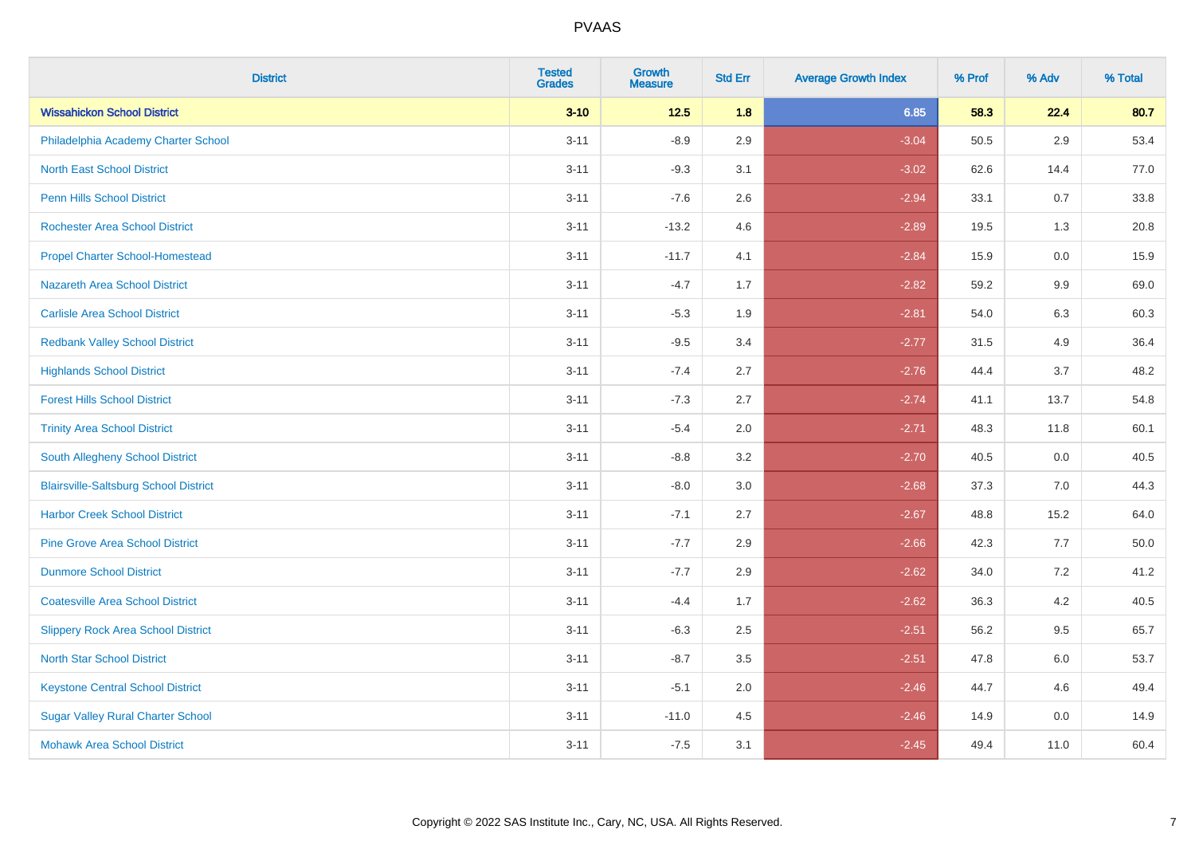| <b>District</b>                              | <b>Tested</b><br><b>Grades</b> | <b>Growth</b><br><b>Measure</b> | <b>Std Err</b> | <b>Average Growth Index</b> | % Prof | % Adv | % Total |
|----------------------------------------------|--------------------------------|---------------------------------|----------------|-----------------------------|--------|-------|---------|
| <b>Wissahickon School District</b>           | $3 - 10$                       | $12.5$                          | 1.8            | 6.85                        | 58.3   | 22.4  | 80.7    |
| Philadelphia Academy Charter School          | $3 - 11$                       | $-8.9$                          | 2.9            | $-3.04$                     | 50.5   | 2.9   | 53.4    |
| <b>North East School District</b>            | $3 - 11$                       | $-9.3$                          | 3.1            | $-3.02$                     | 62.6   | 14.4  | 77.0    |
| <b>Penn Hills School District</b>            | $3 - 11$                       | $-7.6$                          | 2.6            | $-2.94$                     | 33.1   | 0.7   | 33.8    |
| <b>Rochester Area School District</b>        | $3 - 11$                       | $-13.2$                         | 4.6            | $-2.89$                     | 19.5   | 1.3   | 20.8    |
| <b>Propel Charter School-Homestead</b>       | $3 - 11$                       | $-11.7$                         | 4.1            | $-2.84$                     | 15.9   | 0.0   | 15.9    |
| <b>Nazareth Area School District</b>         | $3 - 11$                       | $-4.7$                          | 1.7            | $-2.82$                     | 59.2   | 9.9   | 69.0    |
| <b>Carlisle Area School District</b>         | $3 - 11$                       | $-5.3$                          | 1.9            | $-2.81$                     | 54.0   | 6.3   | 60.3    |
| <b>Redbank Valley School District</b>        | $3 - 11$                       | $-9.5$                          | 3.4            | $-2.77$                     | 31.5   | 4.9   | 36.4    |
| <b>Highlands School District</b>             | $3 - 11$                       | $-7.4$                          | 2.7            | $-2.76$                     | 44.4   | 3.7   | 48.2    |
| <b>Forest Hills School District</b>          | $3 - 11$                       | $-7.3$                          | 2.7            | $-2.74$                     | 41.1   | 13.7  | 54.8    |
| <b>Trinity Area School District</b>          | $3 - 11$                       | $-5.4$                          | 2.0            | $-2.71$                     | 48.3   | 11.8  | 60.1    |
| South Allegheny School District              | $3 - 11$                       | $-8.8$                          | 3.2            | $-2.70$                     | 40.5   | 0.0   | 40.5    |
| <b>Blairsville-Saltsburg School District</b> | $3 - 11$                       | $-8.0$                          | 3.0            | $-2.68$                     | 37.3   | 7.0   | 44.3    |
| <b>Harbor Creek School District</b>          | $3 - 11$                       | $-7.1$                          | 2.7            | $-2.67$                     | 48.8   | 15.2  | 64.0    |
| <b>Pine Grove Area School District</b>       | $3 - 11$                       | $-7.7$                          | 2.9            | $-2.66$                     | 42.3   | 7.7   | 50.0    |
| <b>Dunmore School District</b>               | $3 - 11$                       | $-7.7$                          | 2.9            | $-2.62$                     | 34.0   | 7.2   | 41.2    |
| <b>Coatesville Area School District</b>      | $3 - 11$                       | $-4.4$                          | 1.7            | $-2.62$                     | 36.3   | 4.2   | 40.5    |
| <b>Slippery Rock Area School District</b>    | $3 - 11$                       | $-6.3$                          | 2.5            | $-2.51$                     | 56.2   | 9.5   | 65.7    |
| <b>North Star School District</b>            | $3 - 11$                       | $-8.7$                          | 3.5            | $-2.51$                     | 47.8   | 6.0   | 53.7    |
| <b>Keystone Central School District</b>      | $3 - 11$                       | $-5.1$                          | 2.0            | $-2.46$                     | 44.7   | 4.6   | 49.4    |
| <b>Sugar Valley Rural Charter School</b>     | $3 - 11$                       | $-11.0$                         | 4.5            | $-2.46$                     | 14.9   | 0.0   | 14.9    |
| <b>Mohawk Area School District</b>           | $3 - 11$                       | $-7.5$                          | 3.1            | $-2.45$                     | 49.4   | 11.0  | 60.4    |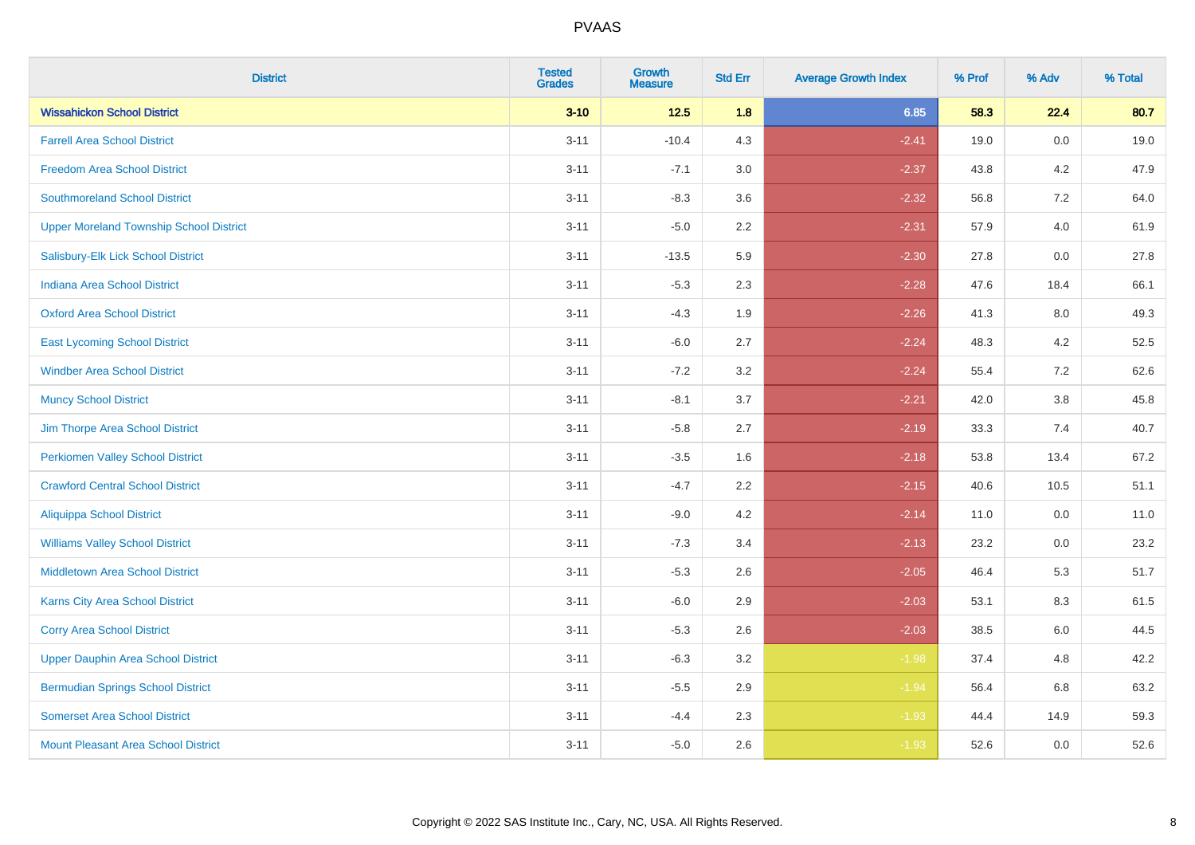| <b>District</b>                                | <b>Tested</b><br><b>Grades</b> | Growth<br><b>Measure</b> | <b>Std Err</b> | <b>Average Growth Index</b> | % Prof | % Adv   | % Total |
|------------------------------------------------|--------------------------------|--------------------------|----------------|-----------------------------|--------|---------|---------|
| <b>Wissahickon School District</b>             | $3 - 10$                       | $12.5$                   | 1.8            | 6.85                        | 58.3   | 22.4    | 80.7    |
| <b>Farrell Area School District</b>            | $3 - 11$                       | $-10.4$                  | 4.3            | $-2.41$                     | 19.0   | 0.0     | 19.0    |
| <b>Freedom Area School District</b>            | $3 - 11$                       | $-7.1$                   | 3.0            | $-2.37$                     | 43.8   | 4.2     | 47.9    |
| <b>Southmoreland School District</b>           | $3 - 11$                       | $-8.3$                   | 3.6            | $-2.32$                     | 56.8   | 7.2     | 64.0    |
| <b>Upper Moreland Township School District</b> | $3 - 11$                       | $-5.0$                   | 2.2            | $-2.31$                     | 57.9   | 4.0     | 61.9    |
| Salisbury-Elk Lick School District             | $3 - 11$                       | $-13.5$                  | 5.9            | $-2.30$                     | 27.8   | 0.0     | 27.8    |
| <b>Indiana Area School District</b>            | $3 - 11$                       | $-5.3$                   | 2.3            | $-2.28$                     | 47.6   | 18.4    | 66.1    |
| <b>Oxford Area School District</b>             | $3 - 11$                       | $-4.3$                   | 1.9            | $-2.26$                     | 41.3   | 8.0     | 49.3    |
| <b>East Lycoming School District</b>           | $3 - 11$                       | $-6.0$                   | 2.7            | $-2.24$                     | 48.3   | 4.2     | 52.5    |
| <b>Windber Area School District</b>            | $3 - 11$                       | $-7.2$                   | 3.2            | $-2.24$                     | 55.4   | 7.2     | 62.6    |
| <b>Muncy School District</b>                   | $3 - 11$                       | $-8.1$                   | 3.7            | $-2.21$                     | 42.0   | $3.8\,$ | 45.8    |
| Jim Thorpe Area School District                | $3 - 11$                       | $-5.8$                   | 2.7            | $-2.19$                     | 33.3   | 7.4     | 40.7    |
| <b>Perkiomen Valley School District</b>        | $3 - 11$                       | $-3.5$                   | 1.6            | $-2.18$                     | 53.8   | 13.4    | 67.2    |
| <b>Crawford Central School District</b>        | $3 - 11$                       | $-4.7$                   | 2.2            | $-2.15$                     | 40.6   | 10.5    | 51.1    |
| <b>Aliquippa School District</b>               | $3 - 11$                       | $-9.0$                   | 4.2            | $-2.14$                     | 11.0   | 0.0     | 11.0    |
| <b>Williams Valley School District</b>         | $3 - 11$                       | $-7.3$                   | 3.4            | $-2.13$                     | 23.2   | 0.0     | 23.2    |
| Middletown Area School District                | $3 - 11$                       | $-5.3$                   | 2.6            | $-2.05$                     | 46.4   | 5.3     | 51.7    |
| <b>Karns City Area School District</b>         | $3 - 11$                       | $-6.0$                   | 2.9            | $-2.03$                     | 53.1   | 8.3     | 61.5    |
| <b>Corry Area School District</b>              | $3 - 11$                       | $-5.3$                   | 2.6            | $-2.03$                     | 38.5   | 6.0     | 44.5    |
| <b>Upper Dauphin Area School District</b>      | $3 - 11$                       | $-6.3$                   | 3.2            | $-1.98$                     | 37.4   | 4.8     | 42.2    |
| <b>Bermudian Springs School District</b>       | $3 - 11$                       | $-5.5$                   | 2.9            | $-1.94$                     | 56.4   | 6.8     | 63.2    |
| <b>Somerset Area School District</b>           | $3 - 11$                       | $-4.4$                   | 2.3            | $-1.93$                     | 44.4   | 14.9    | 59.3    |
| Mount Pleasant Area School District            | $3 - 11$                       | $-5.0$                   | 2.6            | $-1.93$                     | 52.6   | 0.0     | 52.6    |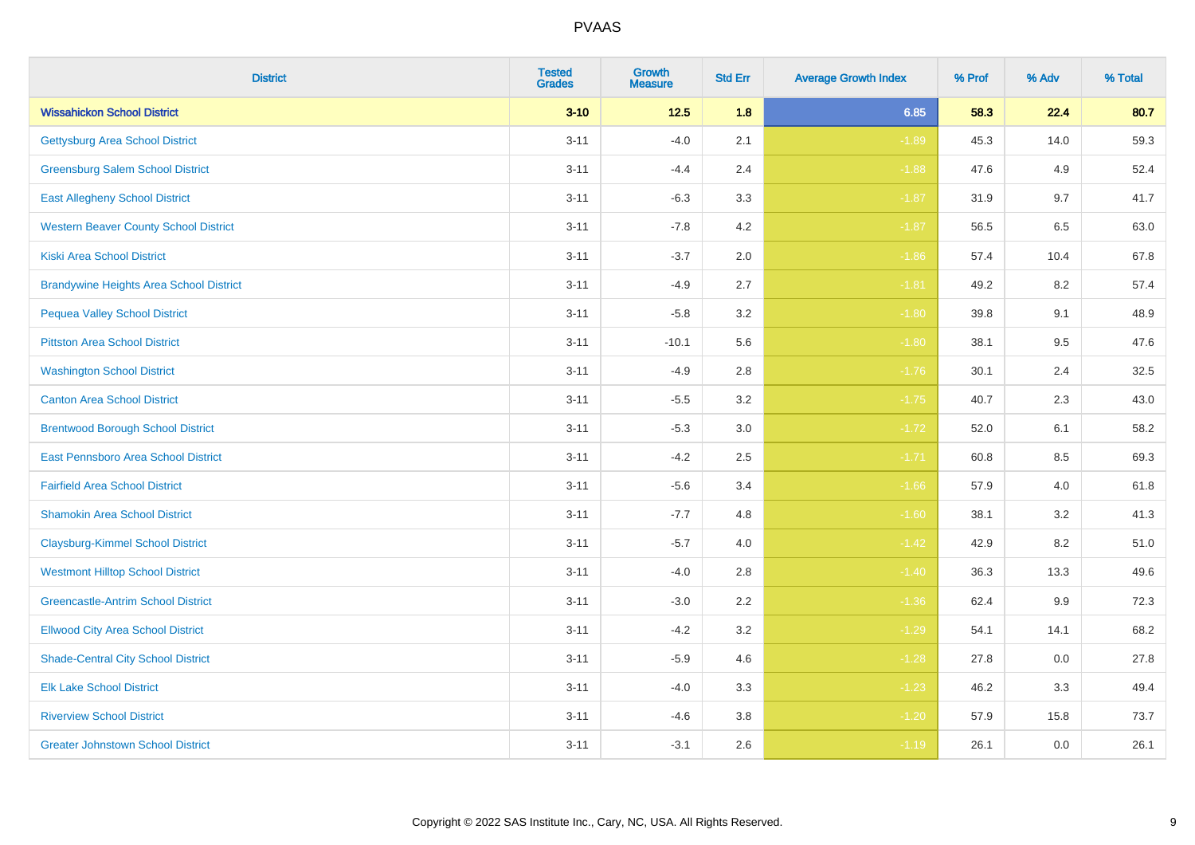| <b>District</b>                                | <b>Tested</b><br><b>Grades</b> | Growth<br><b>Measure</b> | <b>Std Err</b> | <b>Average Growth Index</b> | % Prof | % Adv   | % Total |
|------------------------------------------------|--------------------------------|--------------------------|----------------|-----------------------------|--------|---------|---------|
| <b>Wissahickon School District</b>             | $3 - 10$                       | $12.5$                   | 1.8            | 6.85                        | 58.3   | 22.4    | 80.7    |
| <b>Gettysburg Area School District</b>         | $3 - 11$                       | $-4.0$                   | 2.1            | $-1.89$                     | 45.3   | 14.0    | 59.3    |
| <b>Greensburg Salem School District</b>        | $3 - 11$                       | $-4.4$                   | 2.4            | $-1.88$                     | 47.6   | 4.9     | 52.4    |
| <b>East Allegheny School District</b>          | $3 - 11$                       | $-6.3$                   | 3.3            | $-1.87$                     | 31.9   | 9.7     | 41.7    |
| <b>Western Beaver County School District</b>   | $3 - 11$                       | $-7.8$                   | 4.2            | $-1.87$                     | 56.5   | 6.5     | 63.0    |
| <b>Kiski Area School District</b>              | $3 - 11$                       | $-3.7$                   | 2.0            | $-1.86$                     | 57.4   | 10.4    | 67.8    |
| <b>Brandywine Heights Area School District</b> | $3 - 11$                       | $-4.9$                   | 2.7            | $-1.81$                     | 49.2   | 8.2     | 57.4    |
| <b>Pequea Valley School District</b>           | $3 - 11$                       | $-5.8$                   | 3.2            | $-1.80$                     | 39.8   | 9.1     | 48.9    |
| <b>Pittston Area School District</b>           | $3 - 11$                       | $-10.1$                  | 5.6            | $-1.80$                     | 38.1   | 9.5     | 47.6    |
| <b>Washington School District</b>              | $3 - 11$                       | $-4.9$                   | 2.8            | $-1.76$                     | 30.1   | 2.4     | 32.5    |
| <b>Canton Area School District</b>             | $3 - 11$                       | $-5.5$                   | 3.2            | $-1.75$                     | 40.7   | 2.3     | 43.0    |
| <b>Brentwood Borough School District</b>       | $3 - 11$                       | $-5.3$                   | 3.0            | $-1.72$                     | 52.0   | 6.1     | 58.2    |
| East Pennsboro Area School District            | $3 - 11$                       | $-4.2$                   | 2.5            | $-1.71$                     | 60.8   | 8.5     | 69.3    |
| <b>Fairfield Area School District</b>          | $3 - 11$                       | $-5.6$                   | 3.4            | $-1.66$                     | 57.9   | 4.0     | 61.8    |
| <b>Shamokin Area School District</b>           | $3 - 11$                       | $-7.7$                   | 4.8            | $-1.60$                     | 38.1   | 3.2     | 41.3    |
| <b>Claysburg-Kimmel School District</b>        | $3 - 11$                       | $-5.7$                   | 4.0            | $-1.42$                     | 42.9   | 8.2     | 51.0    |
| <b>Westmont Hilltop School District</b>        | $3 - 11$                       | $-4.0$                   | 2.8            | $-1.40$                     | 36.3   | 13.3    | 49.6    |
| <b>Greencastle-Antrim School District</b>      | $3 - 11$                       | $-3.0$                   | 2.2            | $-1.36$                     | 62.4   | $9.9\,$ | 72.3    |
| <b>Ellwood City Area School District</b>       | $3 - 11$                       | $-4.2$                   | 3.2            | $-1.29$                     | 54.1   | 14.1    | 68.2    |
| <b>Shade-Central City School District</b>      | $3 - 11$                       | $-5.9$                   | 4.6            | $-1.28$                     | 27.8   | 0.0     | 27.8    |
| <b>Elk Lake School District</b>                | $3 - 11$                       | $-4.0$                   | 3.3            | $-1.23$                     | 46.2   | 3.3     | 49.4    |
| <b>Riverview School District</b>               | $3 - 11$                       | $-4.6$                   | 3.8            | $-1.20$                     | 57.9   | 15.8    | 73.7    |
| <b>Greater Johnstown School District</b>       | $3 - 11$                       | $-3.1$                   | 2.6            | $-1.19$                     | 26.1   | 0.0     | 26.1    |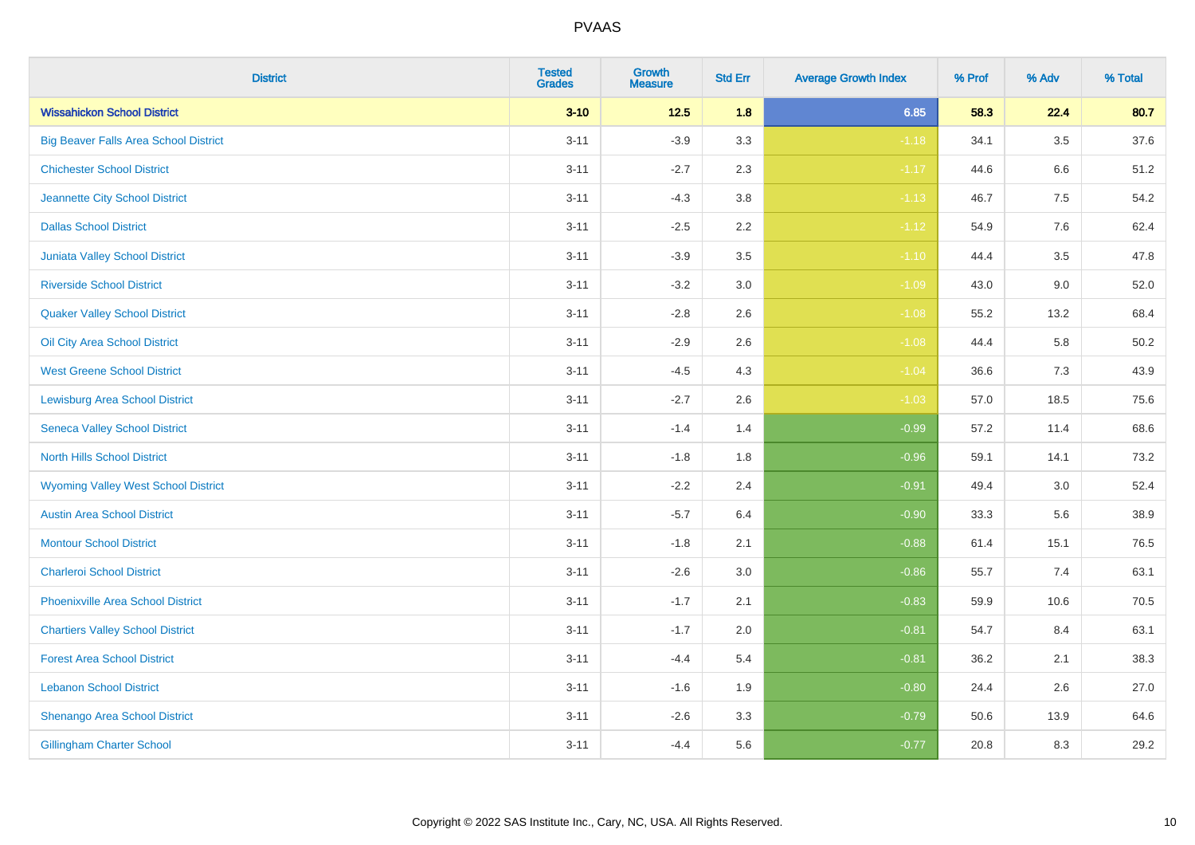| <b>District</b>                              | <b>Tested</b><br><b>Grades</b> | <b>Growth</b><br><b>Measure</b> | <b>Std Err</b> | <b>Average Growth Index</b> | % Prof | % Adv   | % Total  |
|----------------------------------------------|--------------------------------|---------------------------------|----------------|-----------------------------|--------|---------|----------|
| <b>Wissahickon School District</b>           | $3 - 10$                       | $12.5$                          | 1.8            | 6.85                        | 58.3   | 22.4    | 80.7     |
| <b>Big Beaver Falls Area School District</b> | $3 - 11$                       | $-3.9$                          | 3.3            | $-1.18$                     | 34.1   | $3.5\,$ | 37.6     |
| <b>Chichester School District</b>            | $3 - 11$                       | $-2.7$                          | 2.3            | $-1.17$                     | 44.6   | 6.6     | 51.2     |
| Jeannette City School District               | $3 - 11$                       | $-4.3$                          | 3.8            | $-1.13$                     | 46.7   | 7.5     | 54.2     |
| <b>Dallas School District</b>                | $3 - 11$                       | $-2.5$                          | 2.2            | $-1.12$                     | 54.9   | 7.6     | 62.4     |
| Juniata Valley School District               | $3 - 11$                       | $-3.9$                          | 3.5            | $-1.10$                     | 44.4   | 3.5     | 47.8     |
| <b>Riverside School District</b>             | $3 - 11$                       | $-3.2$                          | 3.0            | $-1.09$                     | 43.0   | 9.0     | 52.0     |
| <b>Quaker Valley School District</b>         | $3 - 11$                       | $-2.8$                          | 2.6            | $-1.08$                     | 55.2   | 13.2    | 68.4     |
| Oil City Area School District                | $3 - 11$                       | $-2.9$                          | 2.6            | $-1.08$                     | 44.4   | 5.8     | $50.2\,$ |
| <b>West Greene School District</b>           | $3 - 11$                       | $-4.5$                          | 4.3            | $-1.04$                     | 36.6   | 7.3     | 43.9     |
| <b>Lewisburg Area School District</b>        | $3 - 11$                       | $-2.7$                          | 2.6            | $-1.03$                     | 57.0   | 18.5    | 75.6     |
| <b>Seneca Valley School District</b>         | $3 - 11$                       | $-1.4$                          | 1.4            | $-0.99$                     | 57.2   | 11.4    | 68.6     |
| <b>North Hills School District</b>           | $3 - 11$                       | $-1.8$                          | 1.8            | $-0.96$                     | 59.1   | 14.1    | 73.2     |
| <b>Wyoming Valley West School District</b>   | $3 - 11$                       | $-2.2$                          | 2.4            | $-0.91$                     | 49.4   | 3.0     | 52.4     |
| <b>Austin Area School District</b>           | $3 - 11$                       | $-5.7$                          | 6.4            | $-0.90$                     | 33.3   | 5.6     | 38.9     |
| <b>Montour School District</b>               | $3 - 11$                       | $-1.8$                          | 2.1            | $-0.88$                     | 61.4   | 15.1    | 76.5     |
| <b>Charleroi School District</b>             | $3 - 11$                       | $-2.6$                          | 3.0            | $-0.86$                     | 55.7   | 7.4     | 63.1     |
| <b>Phoenixville Area School District</b>     | $3 - 11$                       | $-1.7$                          | 2.1            | $-0.83$                     | 59.9   | 10.6    | 70.5     |
| <b>Chartiers Valley School District</b>      | $3 - 11$                       | $-1.7$                          | 2.0            | $-0.81$                     | 54.7   | 8.4     | 63.1     |
| <b>Forest Area School District</b>           | $3 - 11$                       | $-4.4$                          | 5.4            | $-0.81$                     | 36.2   | 2.1     | 38.3     |
| <b>Lebanon School District</b>               | $3 - 11$                       | $-1.6$                          | 1.9            | $-0.80$                     | 24.4   | 2.6     | 27.0     |
| Shenango Area School District                | $3 - 11$                       | $-2.6$                          | 3.3            | $-0.79$                     | 50.6   | 13.9    | 64.6     |
| <b>Gillingham Charter School</b>             | $3 - 11$                       | $-4.4$                          | 5.6            | $-0.77$                     | 20.8   | 8.3     | 29.2     |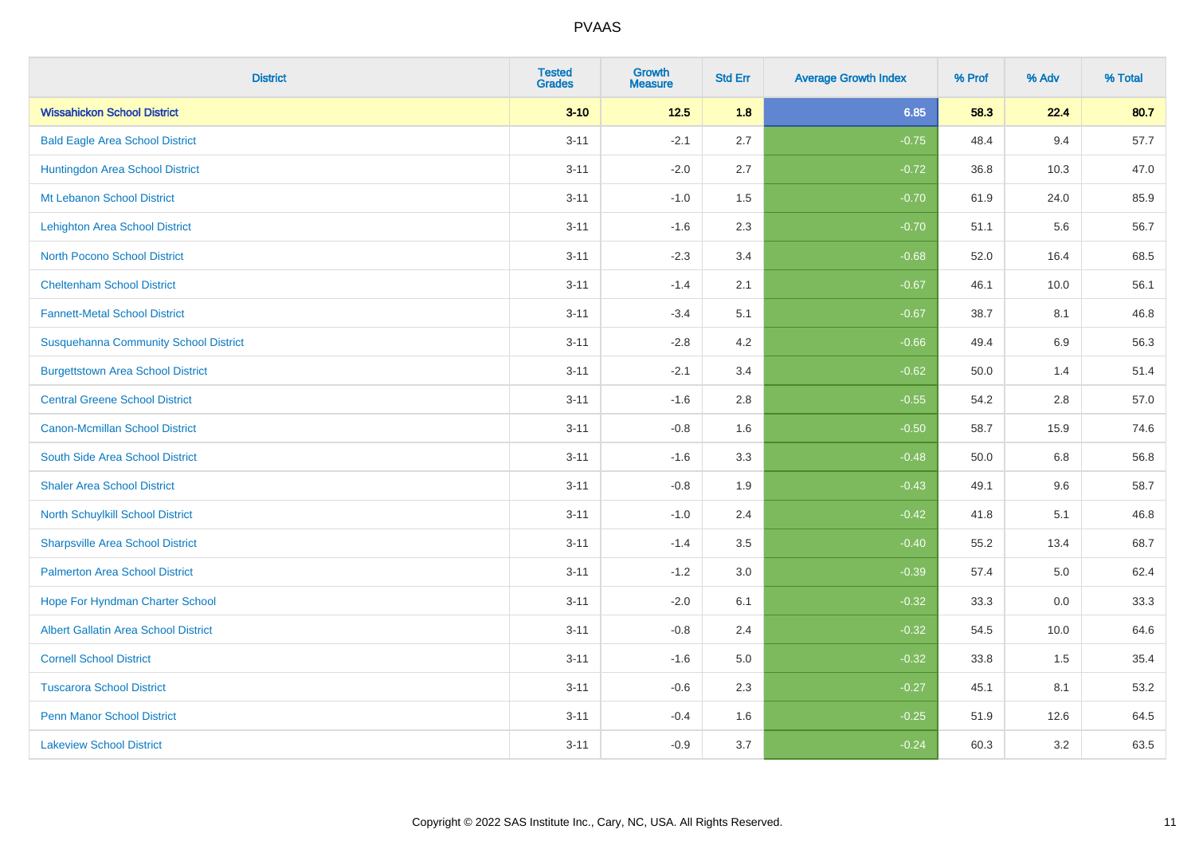| <b>District</b>                              | <b>Tested</b><br><b>Grades</b> | <b>Growth</b><br><b>Measure</b> | <b>Std Err</b> | <b>Average Growth Index</b> | % Prof | % Adv | % Total |
|----------------------------------------------|--------------------------------|---------------------------------|----------------|-----------------------------|--------|-------|---------|
| <b>Wissahickon School District</b>           | $3 - 10$                       | $12.5$                          | 1.8            | 6.85                        | 58.3   | 22.4  | 80.7    |
| <b>Bald Eagle Area School District</b>       | $3 - 11$                       | $-2.1$                          | 2.7            | $-0.75$                     | 48.4   | 9.4   | 57.7    |
| Huntingdon Area School District              | $3 - 11$                       | $-2.0$                          | 2.7            | $-0.72$                     | 36.8   | 10.3  | 47.0    |
| Mt Lebanon School District                   | $3 - 11$                       | $-1.0$                          | 1.5            | $-0.70$                     | 61.9   | 24.0  | 85.9    |
| Lehighton Area School District               | $3 - 11$                       | $-1.6$                          | 2.3            | $-0.70$                     | 51.1   | 5.6   | 56.7    |
| <b>North Pocono School District</b>          | $3 - 11$                       | $-2.3$                          | 3.4            | $-0.68$                     | 52.0   | 16.4  | 68.5    |
| <b>Cheltenham School District</b>            | $3 - 11$                       | $-1.4$                          | 2.1            | $-0.67$                     | 46.1   | 10.0  | 56.1    |
| <b>Fannett-Metal School District</b>         | $3 - 11$                       | $-3.4$                          | 5.1            | $-0.67$                     | 38.7   | 8.1   | 46.8    |
| <b>Susquehanna Community School District</b> | $3 - 11$                       | $-2.8$                          | 4.2            | $-0.66$                     | 49.4   | 6.9   | 56.3    |
| <b>Burgettstown Area School District</b>     | $3 - 11$                       | $-2.1$                          | 3.4            | $-0.62$                     | 50.0   | 1.4   | 51.4    |
| <b>Central Greene School District</b>        | $3 - 11$                       | $-1.6$                          | 2.8            | $-0.55$                     | 54.2   | 2.8   | 57.0    |
| <b>Canon-Mcmillan School District</b>        | $3 - 11$                       | $-0.8$                          | 1.6            | $-0.50$                     | 58.7   | 15.9  | 74.6    |
| South Side Area School District              | $3 - 11$                       | $-1.6$                          | 3.3            | $-0.48$                     | 50.0   | 6.8   | 56.8    |
| <b>Shaler Area School District</b>           | $3 - 11$                       | $-0.8$                          | 1.9            | $-0.43$                     | 49.1   | 9.6   | 58.7    |
| North Schuylkill School District             | $3 - 11$                       | $-1.0$                          | 2.4            | $-0.42$                     | 41.8   | 5.1   | 46.8    |
| <b>Sharpsville Area School District</b>      | $3 - 11$                       | $-1.4$                          | 3.5            | $-0.40$                     | 55.2   | 13.4  | 68.7    |
| <b>Palmerton Area School District</b>        | $3 - 11$                       | $-1.2$                          | 3.0            | $-0.39$                     | 57.4   | 5.0   | 62.4    |
| Hope For Hyndman Charter School              | $3 - 11$                       | $-2.0$                          | 6.1            | $-0.32$                     | 33.3   | 0.0   | 33.3    |
| <b>Albert Gallatin Area School District</b>  | $3 - 11$                       | $-0.8$                          | 2.4            | $-0.32$                     | 54.5   | 10.0  | 64.6    |
| <b>Cornell School District</b>               | $3 - 11$                       | $-1.6$                          | 5.0            | $-0.32$                     | 33.8   | 1.5   | 35.4    |
| <b>Tuscarora School District</b>             | $3 - 11$                       | $-0.6$                          | 2.3            | $-0.27$                     | 45.1   | 8.1   | 53.2    |
| <b>Penn Manor School District</b>            | $3 - 11$                       | $-0.4$                          | 1.6            | $-0.25$                     | 51.9   | 12.6  | 64.5    |
| <b>Lakeview School District</b>              | $3 - 11$                       | $-0.9$                          | 3.7            | $-0.24$                     | 60.3   | 3.2   | 63.5    |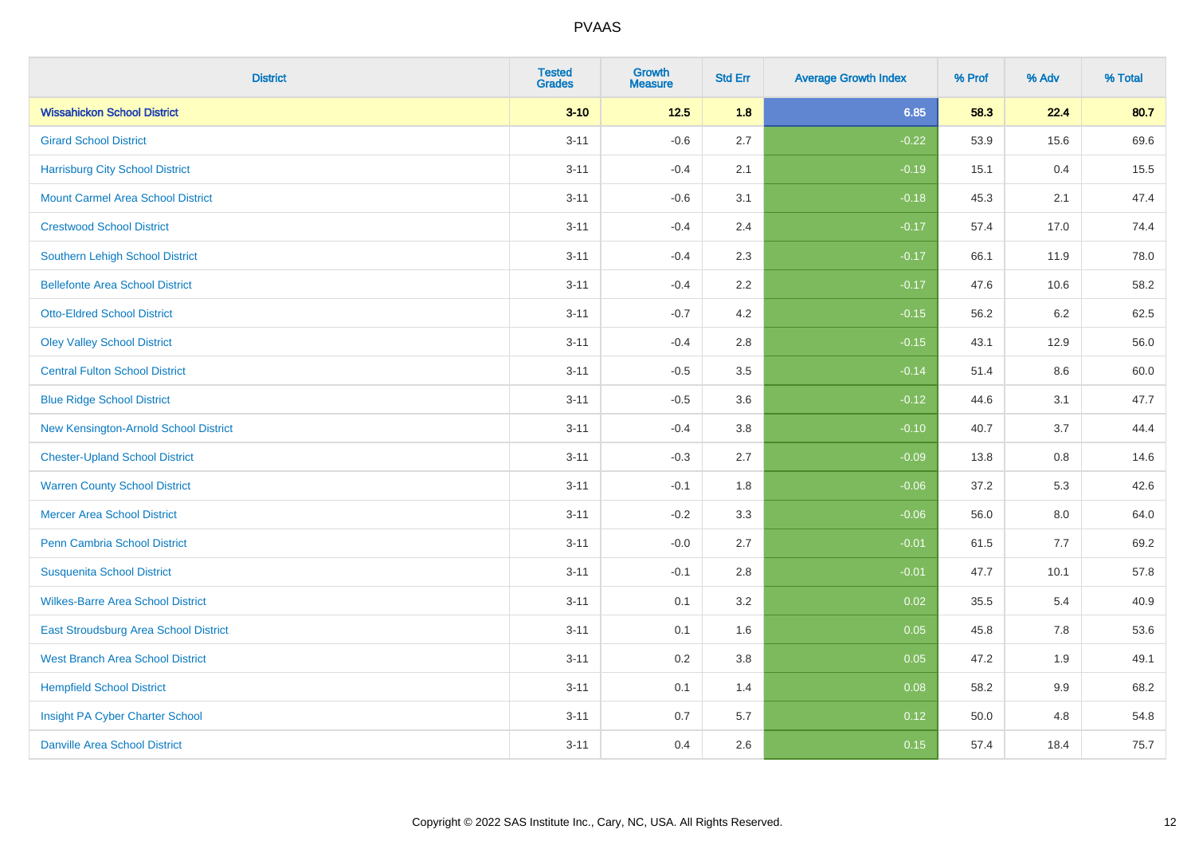| <b>District</b>                          | <b>Tested</b><br><b>Grades</b> | <b>Growth</b><br><b>Measure</b> | <b>Std Err</b> | <b>Average Growth Index</b> | % Prof | % Adv   | % Total |
|------------------------------------------|--------------------------------|---------------------------------|----------------|-----------------------------|--------|---------|---------|
| <b>Wissahickon School District</b>       | $3 - 10$                       | $12.5$                          | 1.8            | 6.85                        | 58.3   | 22.4    | 80.7    |
| <b>Girard School District</b>            | $3 - 11$                       | $-0.6$                          | 2.7            | $-0.22$                     | 53.9   | 15.6    | 69.6    |
| <b>Harrisburg City School District</b>   | $3 - 11$                       | $-0.4$                          | 2.1            | $-0.19$                     | 15.1   | 0.4     | 15.5    |
| <b>Mount Carmel Area School District</b> | $3 - 11$                       | $-0.6$                          | 3.1            | $-0.18$                     | 45.3   | 2.1     | 47.4    |
| <b>Crestwood School District</b>         | $3 - 11$                       | $-0.4$                          | 2.4            | $-0.17$                     | 57.4   | 17.0    | 74.4    |
| <b>Southern Lehigh School District</b>   | $3 - 11$                       | $-0.4$                          | 2.3            | $-0.17$                     | 66.1   | 11.9    | 78.0    |
| <b>Bellefonte Area School District</b>   | $3 - 11$                       | $-0.4$                          | 2.2            | $-0.17$                     | 47.6   | 10.6    | 58.2    |
| <b>Otto-Eldred School District</b>       | $3 - 11$                       | $-0.7$                          | 4.2            | $-0.15$                     | 56.2   | $6.2\,$ | 62.5    |
| <b>Oley Valley School District</b>       | $3 - 11$                       | $-0.4$                          | 2.8            | $-0.15$                     | 43.1   | 12.9    | 56.0    |
| <b>Central Fulton School District</b>    | $3 - 11$                       | $-0.5$                          | 3.5            | $-0.14$                     | 51.4   | 8.6     | 60.0    |
| <b>Blue Ridge School District</b>        | $3 - 11$                       | $-0.5$                          | 3.6            | $-0.12$                     | 44.6   | 3.1     | 47.7    |
| New Kensington-Arnold School District    | $3 - 11$                       | $-0.4$                          | 3.8            | $-0.10$                     | 40.7   | 3.7     | 44.4    |
| <b>Chester-Upland School District</b>    | $3 - 11$                       | $-0.3$                          | 2.7            | $-0.09$                     | 13.8   | 0.8     | 14.6    |
| <b>Warren County School District</b>     | $3 - 11$                       | $-0.1$                          | 1.8            | $-0.06$                     | 37.2   | 5.3     | 42.6    |
| <b>Mercer Area School District</b>       | $3 - 11$                       | $-0.2$                          | 3.3            | $-0.06$                     | 56.0   | $8.0\,$ | 64.0    |
| <b>Penn Cambria School District</b>      | $3 - 11$                       | $-0.0$                          | 2.7            | $-0.01$                     | 61.5   | 7.7     | 69.2    |
| <b>Susquenita School District</b>        | $3 - 11$                       | $-0.1$                          | 2.8            | $-0.01$                     | 47.7   | 10.1    | 57.8    |
| <b>Wilkes-Barre Area School District</b> | $3 - 11$                       | 0.1                             | 3.2            | 0.02                        | 35.5   | 5.4     | 40.9    |
| East Stroudsburg Area School District    | $3 - 11$                       | 0.1                             | 1.6            | 0.05                        | 45.8   | 7.8     | 53.6    |
| <b>West Branch Area School District</b>  | $3 - 11$                       | 0.2                             | 3.8            | 0.05                        | 47.2   | 1.9     | 49.1    |
| <b>Hempfield School District</b>         | $3 - 11$                       | 0.1                             | 1.4            | 0.08                        | 58.2   | 9.9     | 68.2    |
| Insight PA Cyber Charter School          | $3 - 11$                       | 0.7                             | 5.7            | 0.12                        | 50.0   | 4.8     | 54.8    |
| <b>Danville Area School District</b>     | $3 - 11$                       | 0.4                             | 2.6            | 0.15                        | 57.4   | 18.4    | 75.7    |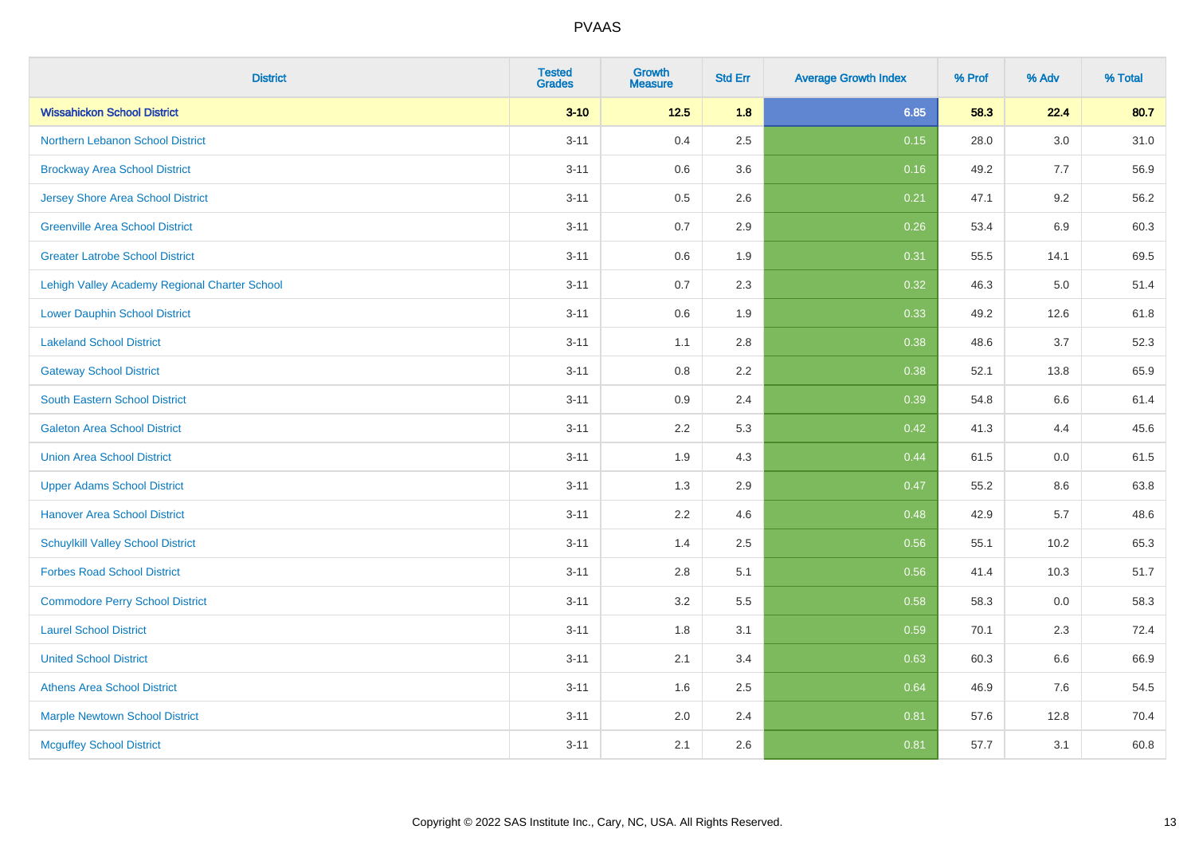| <b>District</b>                               | <b>Tested</b><br><b>Grades</b> | <b>Growth</b><br><b>Measure</b> | <b>Std Err</b> | <b>Average Growth Index</b> | % Prof | % Adv   | % Total |
|-----------------------------------------------|--------------------------------|---------------------------------|----------------|-----------------------------|--------|---------|---------|
| <b>Wissahickon School District</b>            | $3 - 10$                       | $12.5$                          | 1.8            | 6.85                        | 58.3   | 22.4    | 80.7    |
| Northern Lebanon School District              | $3 - 11$                       | 0.4                             | 2.5            | 0.15                        | 28.0   | $3.0\,$ | 31.0    |
| <b>Brockway Area School District</b>          | $3 - 11$                       | 0.6                             | 3.6            | 0.16                        | 49.2   | 7.7     | 56.9    |
| <b>Jersey Shore Area School District</b>      | $3 - 11$                       | 0.5                             | 2.6            | 0.21                        | 47.1   | 9.2     | 56.2    |
| <b>Greenville Area School District</b>        | $3 - 11$                       | 0.7                             | 2.9            | 0.26                        | 53.4   | $6.9\,$ | 60.3    |
| <b>Greater Latrobe School District</b>        | $3 - 11$                       | 0.6                             | 1.9            | 0.31                        | 55.5   | 14.1    | 69.5    |
| Lehigh Valley Academy Regional Charter School | $3 - 11$                       | 0.7                             | 2.3            | 0.32                        | 46.3   | 5.0     | 51.4    |
| <b>Lower Dauphin School District</b>          | $3 - 11$                       | 0.6                             | 1.9            | 0.33                        | 49.2   | 12.6    | 61.8    |
| <b>Lakeland School District</b>               | $3 - 11$                       | 1.1                             | 2.8            | 0.38                        | 48.6   | 3.7     | 52.3    |
| <b>Gateway School District</b>                | $3 - 11$                       | 0.8                             | $2.2\,$        | 0.38                        | 52.1   | 13.8    | 65.9    |
| South Eastern School District                 | $3 - 11$                       | 0.9                             | 2.4            | 0.39                        | 54.8   | 6.6     | 61.4    |
| <b>Galeton Area School District</b>           | $3 - 11$                       | 2.2                             | 5.3            | 0.42                        | 41.3   | 4.4     | 45.6    |
| <b>Union Area School District</b>             | $3 - 11$                       | 1.9                             | 4.3            | 0.44                        | 61.5   | $0.0\,$ | 61.5    |
| <b>Upper Adams School District</b>            | $3 - 11$                       | 1.3                             | 2.9            | 0.47                        | 55.2   | 8.6     | 63.8    |
| <b>Hanover Area School District</b>           | $3 - 11$                       | 2.2                             | 4.6            | 0.48                        | 42.9   | 5.7     | 48.6    |
| <b>Schuylkill Valley School District</b>      | $3 - 11$                       | 1.4                             | 2.5            | 0.56                        | 55.1   | 10.2    | 65.3    |
| <b>Forbes Road School District</b>            | $3 - 11$                       | 2.8                             | 5.1            | 0.56                        | 41.4   | 10.3    | 51.7    |
| <b>Commodore Perry School District</b>        | $3 - 11$                       | 3.2                             | 5.5            | 0.58                        | 58.3   | 0.0     | 58.3    |
| <b>Laurel School District</b>                 | $3 - 11$                       | 1.8                             | 3.1            | 0.59                        | 70.1   | 2.3     | 72.4    |
| <b>United School District</b>                 | $3 - 11$                       | 2.1                             | 3.4            | 0.63                        | 60.3   | 6.6     | 66.9    |
| <b>Athens Area School District</b>            | $3 - 11$                       | 1.6                             | 2.5            | 0.64                        | 46.9   | 7.6     | 54.5    |
| <b>Marple Newtown School District</b>         | $3 - 11$                       | 2.0                             | 2.4            | 0.81                        | 57.6   | 12.8    | 70.4    |
| <b>Mcguffey School District</b>               | $3 - 11$                       | 2.1                             | 2.6            | 0.81                        | 57.7   | 3.1     | 60.8    |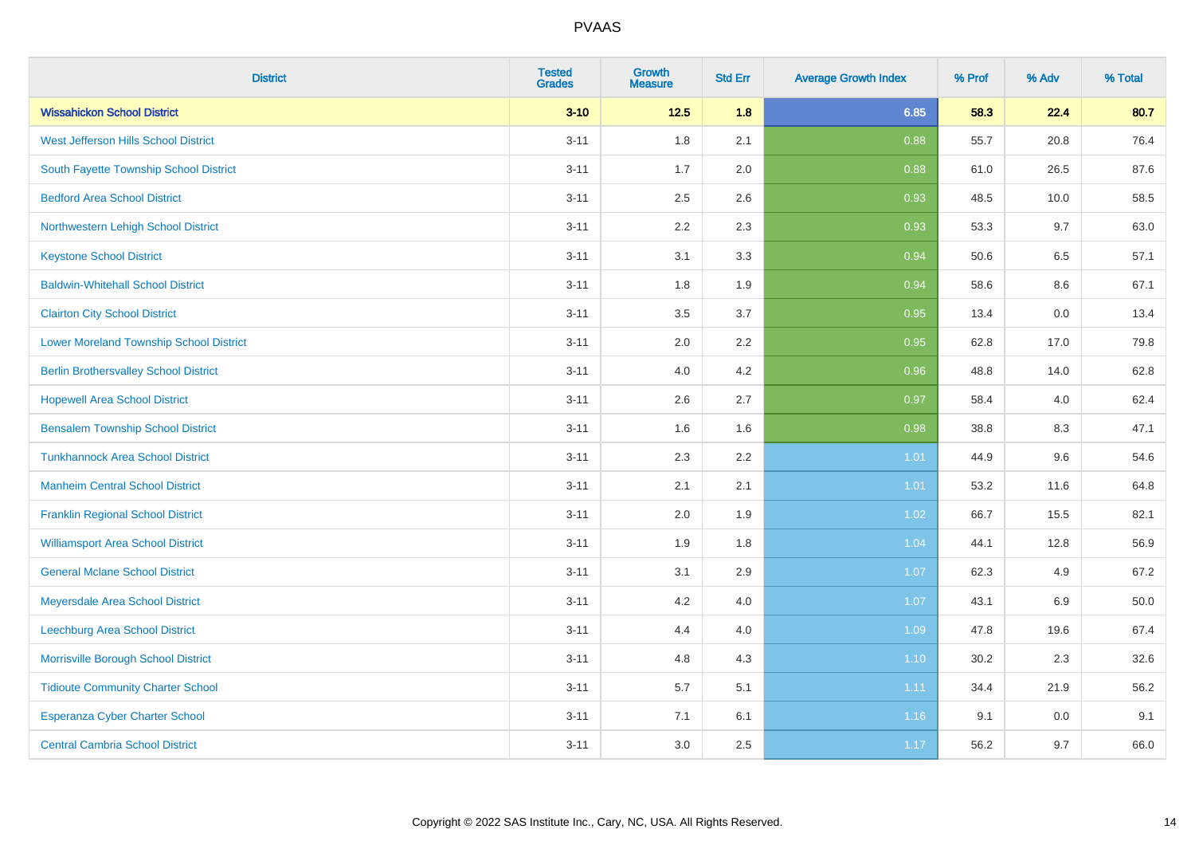| <b>District</b>                                | <b>Tested</b><br><b>Grades</b> | Growth<br><b>Measure</b> | <b>Std Err</b> | <b>Average Growth Index</b> | % Prof | % Adv   | % Total |
|------------------------------------------------|--------------------------------|--------------------------|----------------|-----------------------------|--------|---------|---------|
| <b>Wissahickon School District</b>             | $3 - 10$                       | $12.5$                   | 1.8            | 6.85                        | 58.3   | 22.4    | 80.7    |
| West Jefferson Hills School District           | $3 - 11$                       | 1.8                      | 2.1            | 0.88                        | 55.7   | 20.8    | 76.4    |
| South Fayette Township School District         | $3 - 11$                       | 1.7                      | 2.0            | 0.88                        | 61.0   | 26.5    | 87.6    |
| <b>Bedford Area School District</b>            | $3 - 11$                       | 2.5                      | 2.6            | 0.93                        | 48.5   | 10.0    | 58.5    |
| Northwestern Lehigh School District            | $3 - 11$                       | 2.2                      | 2.3            | 0.93                        | 53.3   | 9.7     | 63.0    |
| <b>Keystone School District</b>                | $3 - 11$                       | 3.1                      | 3.3            | 0.94                        | 50.6   | 6.5     | 57.1    |
| <b>Baldwin-Whitehall School District</b>       | $3 - 11$                       | 1.8                      | 1.9            | 0.94                        | 58.6   | $8.6\,$ | 67.1    |
| <b>Clairton City School District</b>           | $3 - 11$                       | 3.5                      | 3.7            | 0.95                        | 13.4   | 0.0     | 13.4    |
| <b>Lower Moreland Township School District</b> | $3 - 11$                       | 2.0                      | 2.2            | 0.95                        | 62.8   | 17.0    | 79.8    |
| <b>Berlin Brothersvalley School District</b>   | $3 - 11$                       | 4.0                      | 4.2            | 0.96                        | 48.8   | 14.0    | 62.8    |
| <b>Hopewell Area School District</b>           | $3 - 11$                       | 2.6                      | 2.7            | 0.97                        | 58.4   | 4.0     | 62.4    |
| <b>Bensalem Township School District</b>       | $3 - 11$                       | 1.6                      | 1.6            | 0.98                        | 38.8   | 8.3     | 47.1    |
| <b>Tunkhannock Area School District</b>        | $3 - 11$                       | 2.3                      | 2.2            | 1.01                        | 44.9   | 9.6     | 54.6    |
| <b>Manheim Central School District</b>         | $3 - 11$                       | 2.1                      | 2.1            | 1.01                        | 53.2   | 11.6    | 64.8    |
| <b>Franklin Regional School District</b>       | $3 - 11$                       | 2.0                      | 1.9            | 1.02                        | 66.7   | 15.5    | 82.1    |
| <b>Williamsport Area School District</b>       | $3 - 11$                       | 1.9                      | 1.8            | 1.04                        | 44.1   | 12.8    | 56.9    |
| <b>General Mclane School District</b>          | $3 - 11$                       | 3.1                      | 2.9            | 1.07                        | 62.3   | 4.9     | 67.2    |
| Meyersdale Area School District                | $3 - 11$                       | 4.2                      | 4.0            | 1.07                        | 43.1   | $6.9\,$ | 50.0    |
| <b>Leechburg Area School District</b>          | $3 - 11$                       | 4.4                      | 4.0            | 1.09                        | 47.8   | 19.6    | 67.4    |
| Morrisville Borough School District            | $3 - 11$                       | 4.8                      | 4.3            | 1.10                        | 30.2   | 2.3     | 32.6    |
| <b>Tidioute Community Charter School</b>       | $3 - 11$                       | 5.7                      | 5.1            | 1.11                        | 34.4   | 21.9    | 56.2    |
| Esperanza Cyber Charter School                 | $3 - 11$                       | 7.1                      | 6.1            | 1.16                        | 9.1    | 0.0     | 9.1     |
| <b>Central Cambria School District</b>         | $3 - 11$                       | 3.0                      | 2.5            | 1.17                        | 56.2   | 9.7     | 66.0    |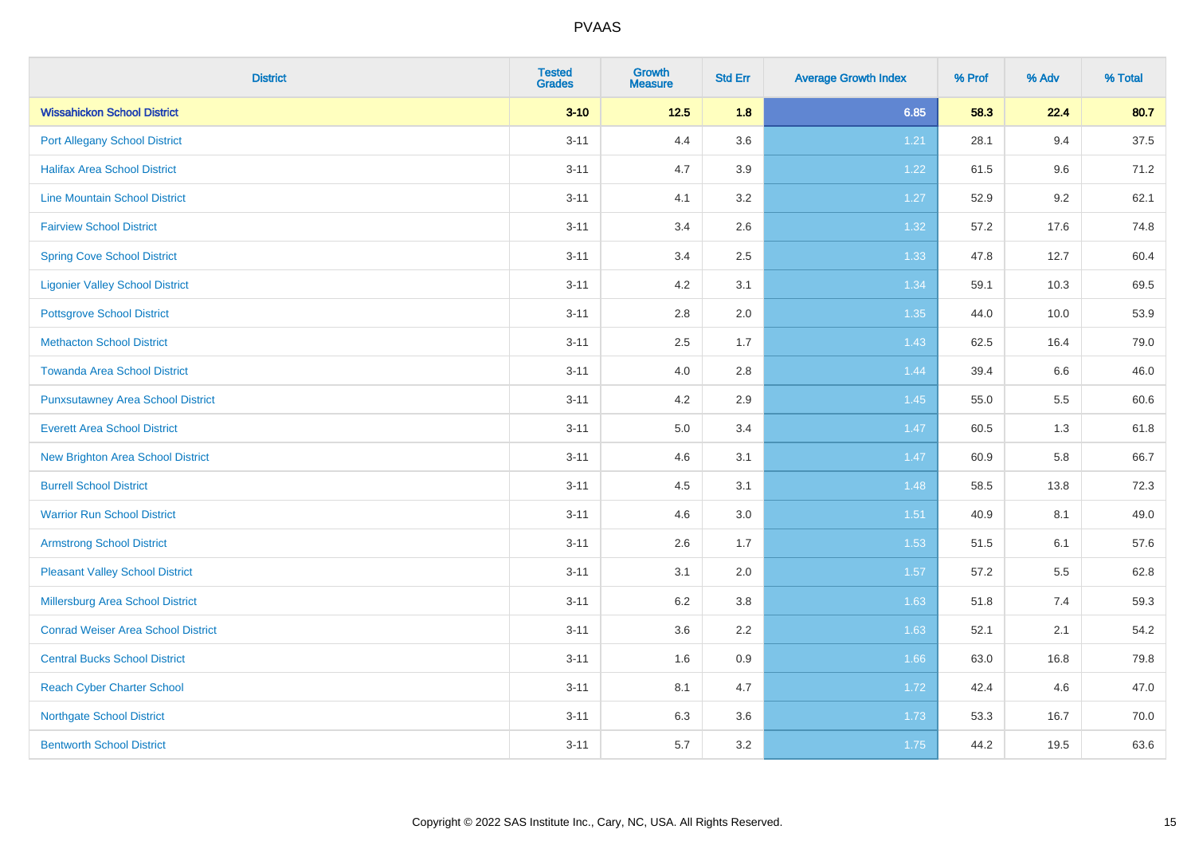| <b>District</b>                           | <b>Tested</b><br><b>Grades</b> | <b>Growth</b><br><b>Measure</b> | <b>Std Err</b> | <b>Average Growth Index</b> | % Prof | % Adv | % Total |
|-------------------------------------------|--------------------------------|---------------------------------|----------------|-----------------------------|--------|-------|---------|
| <b>Wissahickon School District</b>        | $3 - 10$                       | $12.5$                          | 1.8            | 6.85                        | 58.3   | 22.4  | 80.7    |
| <b>Port Allegany School District</b>      | $3 - 11$                       | 4.4                             | 3.6            | 1.21                        | 28.1   | 9.4   | 37.5    |
| <b>Halifax Area School District</b>       | $3 - 11$                       | 4.7                             | 3.9            | 1.22                        | 61.5   | 9.6   | 71.2    |
| <b>Line Mountain School District</b>      | $3 - 11$                       | 4.1                             | 3.2            | 1.27                        | 52.9   | 9.2   | 62.1    |
| <b>Fairview School District</b>           | $3 - 11$                       | 3.4                             | 2.6            | 1.32                        | 57.2   | 17.6  | 74.8    |
| <b>Spring Cove School District</b>        | $3 - 11$                       | 3.4                             | 2.5            | 1.33                        | 47.8   | 12.7  | 60.4    |
| <b>Ligonier Valley School District</b>    | $3 - 11$                       | 4.2                             | 3.1            | 1.34                        | 59.1   | 10.3  | 69.5    |
| <b>Pottsgrove School District</b>         | $3 - 11$                       | $2.8\,$                         | 2.0            | 1.35                        | 44.0   | 10.0  | 53.9    |
| <b>Methacton School District</b>          | $3 - 11$                       | 2.5                             | 1.7            | 1.43                        | 62.5   | 16.4  | 79.0    |
| <b>Towanda Area School District</b>       | $3 - 11$                       | 4.0                             | 2.8            | 1.44                        | 39.4   | 6.6   | 46.0    |
| <b>Punxsutawney Area School District</b>  | $3 - 11$                       | 4.2                             | 2.9            | 1.45                        | 55.0   | 5.5   | 60.6    |
| <b>Everett Area School District</b>       | $3 - 11$                       | 5.0                             | 3.4            | 1.47                        | 60.5   | 1.3   | 61.8    |
| New Brighton Area School District         | $3 - 11$                       | 4.6                             | 3.1            | 1.47                        | 60.9   | 5.8   | 66.7    |
| <b>Burrell School District</b>            | $3 - 11$                       | 4.5                             | 3.1            | 1.48                        | 58.5   | 13.8  | 72.3    |
| <b>Warrior Run School District</b>        | $3 - 11$                       | 4.6                             | 3.0            | $1.51$                      | 40.9   | 8.1   | 49.0    |
| <b>Armstrong School District</b>          | $3 - 11$                       | 2.6                             | 1.7            | 1.53                        | 51.5   | 6.1   | 57.6    |
| <b>Pleasant Valley School District</b>    | $3 - 11$                       | 3.1                             | 2.0            | 1.57                        | 57.2   | 5.5   | 62.8    |
| Millersburg Area School District          | $3 - 11$                       | 6.2                             | 3.8            | 1.63                        | 51.8   | 7.4   | 59.3    |
| <b>Conrad Weiser Area School District</b> | $3 - 11$                       | 3.6                             | 2.2            | 1.63                        | 52.1   | 2.1   | 54.2    |
| <b>Central Bucks School District</b>      | $3 - 11$                       | 1.6                             | 0.9            | 1.66                        | 63.0   | 16.8  | 79.8    |
| <b>Reach Cyber Charter School</b>         | $3 - 11$                       | 8.1                             | 4.7            | 1.72                        | 42.4   | 4.6   | 47.0    |
| <b>Northgate School District</b>          | $3 - 11$                       | 6.3                             | 3.6            | 1.73                        | 53.3   | 16.7  | 70.0    |
| <b>Bentworth School District</b>          | $3 - 11$                       | 5.7                             | 3.2            | 1.75                        | 44.2   | 19.5  | 63.6    |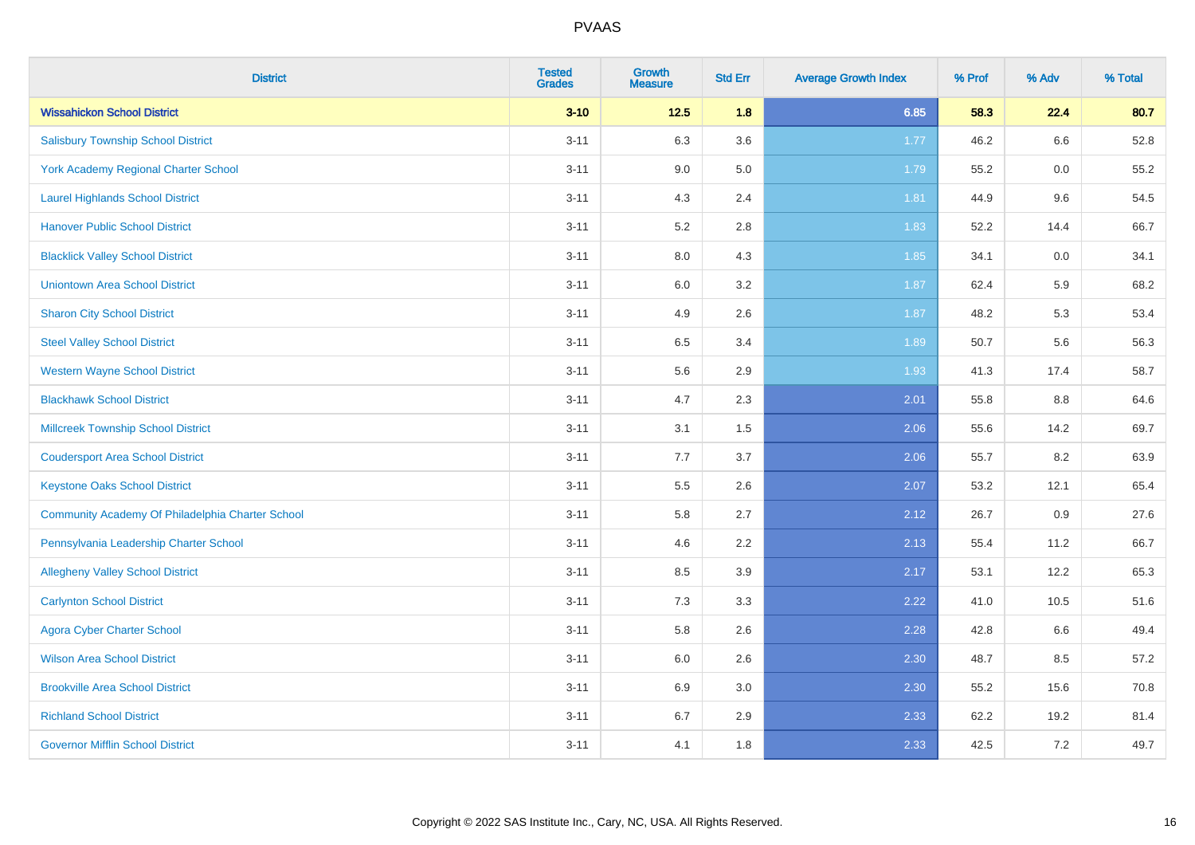| <b>District</b>                                  | <b>Tested</b><br><b>Grades</b> | <b>Growth</b><br><b>Measure</b> | <b>Std Err</b> | <b>Average Growth Index</b> | % Prof | % Adv | % Total |
|--------------------------------------------------|--------------------------------|---------------------------------|----------------|-----------------------------|--------|-------|---------|
| <b>Wissahickon School District</b>               | $3 - 10$                       | $12.5$                          | 1.8            | 6.85                        | 58.3   | 22.4  | 80.7    |
| <b>Salisbury Township School District</b>        | $3 - 11$                       | 6.3                             | 3.6            | 1.77                        | 46.2   | 6.6   | 52.8    |
| York Academy Regional Charter School             | $3 - 11$                       | 9.0                             | 5.0            | 1.79                        | 55.2   | 0.0   | 55.2    |
| <b>Laurel Highlands School District</b>          | $3 - 11$                       | 4.3                             | 2.4            | 1.81                        | 44.9   | 9.6   | 54.5    |
| <b>Hanover Public School District</b>            | $3 - 11$                       | 5.2                             | 2.8            | 1.83                        | 52.2   | 14.4  | 66.7    |
| <b>Blacklick Valley School District</b>          | $3 - 11$                       | $8.0\,$                         | 4.3            | 1.85                        | 34.1   | 0.0   | 34.1    |
| <b>Uniontown Area School District</b>            | $3 - 11$                       | $6.0\,$                         | 3.2            | 1.87                        | 62.4   | 5.9   | 68.2    |
| <b>Sharon City School District</b>               | $3 - 11$                       | 4.9                             | 2.6            | 1.87                        | 48.2   | 5.3   | 53.4    |
| <b>Steel Valley School District</b>              | $3 - 11$                       | 6.5                             | 3.4            | 1.89                        | 50.7   | 5.6   | 56.3    |
| <b>Western Wayne School District</b>             | $3 - 11$                       | $5.6\,$                         | 2.9            | 1.93                        | 41.3   | 17.4  | 58.7    |
| <b>Blackhawk School District</b>                 | $3 - 11$                       | 4.7                             | 2.3            | 2.01                        | 55.8   | 8.8   | 64.6    |
| <b>Millcreek Township School District</b>        | $3 - 11$                       | 3.1                             | 1.5            | 2.06                        | 55.6   | 14.2  | 69.7    |
| <b>Coudersport Area School District</b>          | $3 - 11$                       | 7.7                             | 3.7            | 2.06                        | 55.7   | 8.2   | 63.9    |
| <b>Keystone Oaks School District</b>             | $3 - 11$                       | $5.5\,$                         | 2.6            | 2.07                        | 53.2   | 12.1  | 65.4    |
| Community Academy Of Philadelphia Charter School | $3 - 11$                       | 5.8                             | 2.7            | 2.12                        | 26.7   | 0.9   | 27.6    |
| Pennsylvania Leadership Charter School           | $3 - 11$                       | 4.6                             | 2.2            | 2.13                        | 55.4   | 11.2  | 66.7    |
| <b>Allegheny Valley School District</b>          | $3 - 11$                       | 8.5                             | 3.9            | 2.17                        | 53.1   | 12.2  | 65.3    |
| <b>Carlynton School District</b>                 | $3 - 11$                       | 7.3                             | 3.3            | 2.22                        | 41.0   | 10.5  | 51.6    |
| <b>Agora Cyber Charter School</b>                | $3 - 11$                       | 5.8                             | 2.6            | 2.28                        | 42.8   | 6.6   | 49.4    |
| <b>Wilson Area School District</b>               | $3 - 11$                       | 6.0                             | 2.6            | 2.30                        | 48.7   | 8.5   | 57.2    |
| <b>Brookville Area School District</b>           | $3 - 11$                       | 6.9                             | 3.0            | 2.30                        | 55.2   | 15.6  | 70.8    |
| <b>Richland School District</b>                  | $3 - 11$                       | 6.7                             | 2.9            | 2.33                        | 62.2   | 19.2  | 81.4    |
| <b>Governor Mifflin School District</b>          | $3 - 11$                       | 4.1                             | 1.8            | 2.33                        | 42.5   | 7.2   | 49.7    |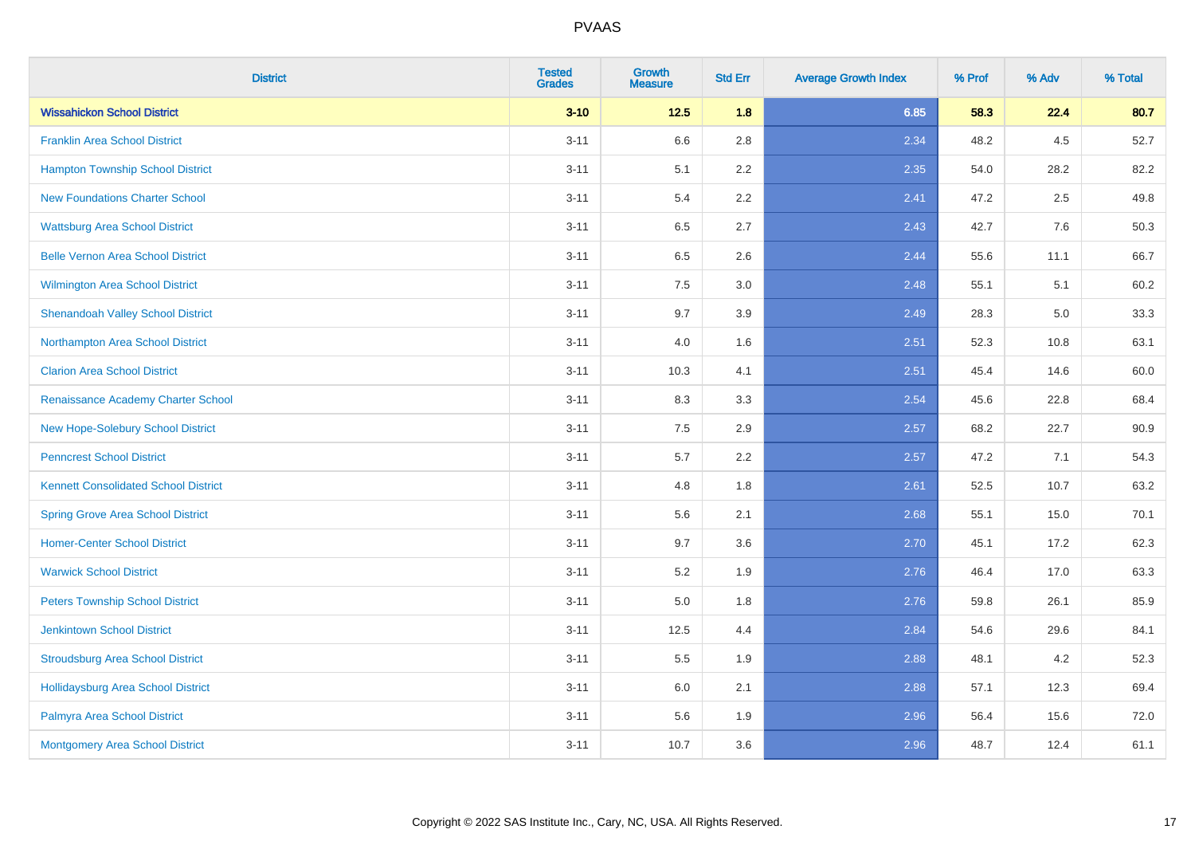| <b>District</b>                             | <b>Tested</b><br><b>Grades</b> | <b>Growth</b><br><b>Measure</b> | <b>Std Err</b> | <b>Average Growth Index</b> | % Prof | % Adv | % Total |
|---------------------------------------------|--------------------------------|---------------------------------|----------------|-----------------------------|--------|-------|---------|
| <b>Wissahickon School District</b>          | $3 - 10$                       | $12.5$                          | 1.8            | 6.85                        | 58.3   | 22.4  | 80.7    |
| <b>Franklin Area School District</b>        | $3 - 11$                       | 6.6                             | 2.8            | 2.34                        | 48.2   | 4.5   | 52.7    |
| <b>Hampton Township School District</b>     | $3 - 11$                       | 5.1                             | 2.2            | 2.35                        | 54.0   | 28.2  | 82.2    |
| <b>New Foundations Charter School</b>       | $3 - 11$                       | 5.4                             | 2.2            | 2.41                        | 47.2   | 2.5   | 49.8    |
| <b>Wattsburg Area School District</b>       | $3 - 11$                       | 6.5                             | 2.7            | 2.43                        | 42.7   | 7.6   | 50.3    |
| <b>Belle Vernon Area School District</b>    | $3 - 11$                       | 6.5                             | 2.6            | 2.44                        | 55.6   | 11.1  | 66.7    |
| Wilmington Area School District             | $3 - 11$                       | $7.5\,$                         | 3.0            | 2.48                        | 55.1   | 5.1   | 60.2    |
| <b>Shenandoah Valley School District</b>    | $3 - 11$                       | 9.7                             | 3.9            | 2.49                        | 28.3   | 5.0   | 33.3    |
| Northampton Area School District            | $3 - 11$                       | 4.0                             | 1.6            | 2.51                        | 52.3   | 10.8  | 63.1    |
| <b>Clarion Area School District</b>         | $3 - 11$                       | 10.3                            | 4.1            | 2.51                        | 45.4   | 14.6  | 60.0    |
| Renaissance Academy Charter School          | $3 - 11$                       | 8.3                             | 3.3            | 2.54                        | 45.6   | 22.8  | 68.4    |
| New Hope-Solebury School District           | $3 - 11$                       | 7.5                             | 2.9            | 2.57                        | 68.2   | 22.7  | 90.9    |
| <b>Penncrest School District</b>            | $3 - 11$                       | 5.7                             | 2.2            | 2.57                        | 47.2   | 7.1   | 54.3    |
| <b>Kennett Consolidated School District</b> | $3 - 11$                       | 4.8                             | 1.8            | 2.61                        | 52.5   | 10.7  | 63.2    |
| <b>Spring Grove Area School District</b>    | $3 - 11$                       | 5.6                             | 2.1            | 2.68                        | 55.1   | 15.0  | 70.1    |
| <b>Homer-Center School District</b>         | $3 - 11$                       | 9.7                             | 3.6            | 2.70                        | 45.1   | 17.2  | 62.3    |
| <b>Warwick School District</b>              | $3 - 11$                       | $5.2\,$                         | 1.9            | 2.76                        | 46.4   | 17.0  | 63.3    |
| <b>Peters Township School District</b>      | $3 - 11$                       | 5.0                             | 1.8            | 2.76                        | 59.8   | 26.1  | 85.9    |
| <b>Jenkintown School District</b>           | $3 - 11$                       | 12.5                            | 4.4            | 2.84                        | 54.6   | 29.6  | 84.1    |
| <b>Stroudsburg Area School District</b>     | $3 - 11$                       | 5.5                             | 1.9            | 2.88                        | 48.1   | 4.2   | 52.3    |
| <b>Hollidaysburg Area School District</b>   | $3 - 11$                       | 6.0                             | 2.1            | 2.88                        | 57.1   | 12.3  | 69.4    |
| Palmyra Area School District                | $3 - 11$                       | 5.6                             | 1.9            | 2.96                        | 56.4   | 15.6  | 72.0    |
| Montgomery Area School District             | $3 - 11$                       | 10.7                            | 3.6            | 2.96                        | 48.7   | 12.4  | 61.1    |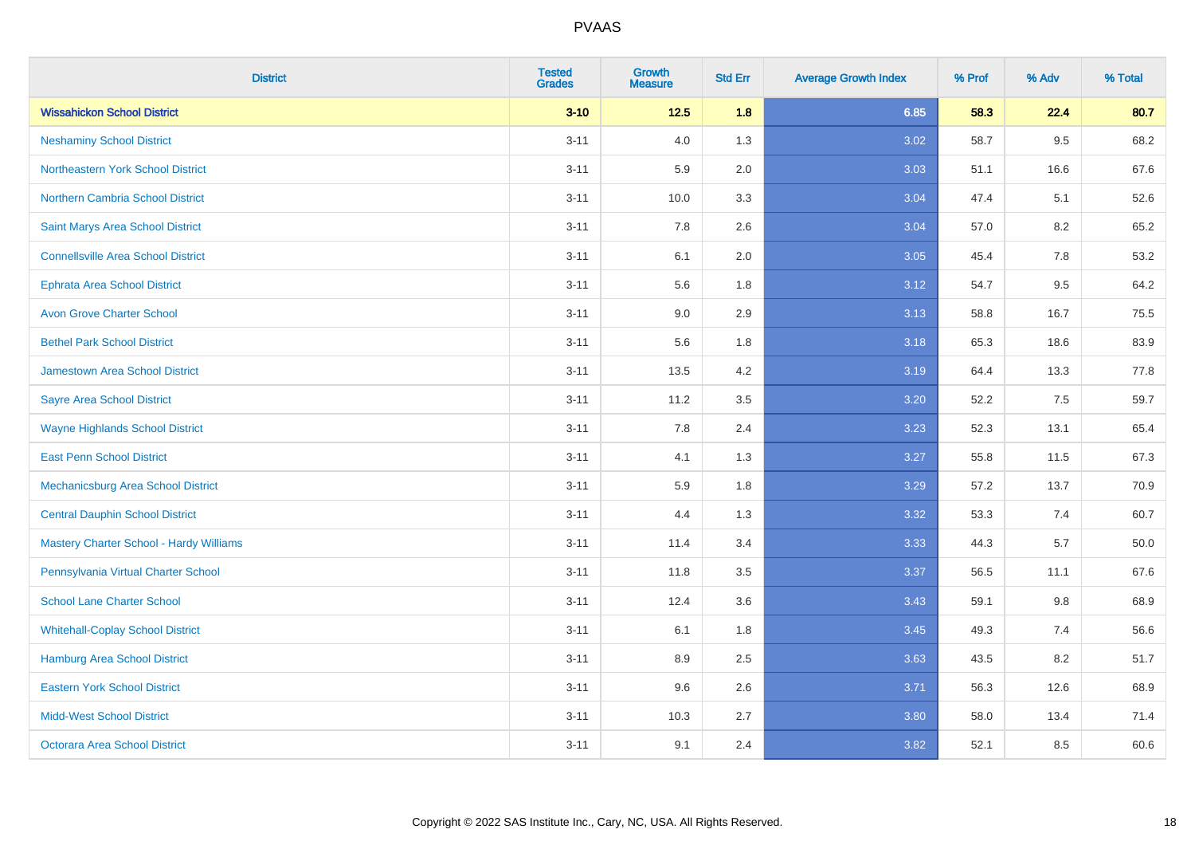| <b>District</b>                                | <b>Tested</b><br><b>Grades</b> | Growth<br><b>Measure</b> | <b>Std Err</b> | <b>Average Growth Index</b> | % Prof | % Adv | % Total |
|------------------------------------------------|--------------------------------|--------------------------|----------------|-----------------------------|--------|-------|---------|
| <b>Wissahickon School District</b>             | $3 - 10$                       | $12.5$                   | 1.8            | 6.85                        | 58.3   | 22.4  | 80.7    |
| <b>Neshaminy School District</b>               | $3 - 11$                       | 4.0                      | 1.3            | 3.02                        | 58.7   | 9.5   | 68.2    |
| <b>Northeastern York School District</b>       | $3 - 11$                       | 5.9                      | 2.0            | 3.03                        | 51.1   | 16.6  | 67.6    |
| Northern Cambria School District               | $3 - 11$                       | 10.0                     | 3.3            | 3.04                        | 47.4   | 5.1   | 52.6    |
| Saint Marys Area School District               | $3 - 11$                       | 7.8                      | 2.6            | 3.04                        | 57.0   | 8.2   | 65.2    |
| <b>Connellsville Area School District</b>      | $3 - 11$                       | 6.1                      | 2.0            | 3.05                        | 45.4   | 7.8   | 53.2    |
| <b>Ephrata Area School District</b>            | $3 - 11$                       | 5.6                      | 1.8            | 3.12                        | 54.7   | 9.5   | 64.2    |
| <b>Avon Grove Charter School</b>               | $3 - 11$                       | 9.0                      | 2.9            | 3.13                        | 58.8   | 16.7  | 75.5    |
| <b>Bethel Park School District</b>             | $3 - 11$                       | 5.6                      | 1.8            | 3.18                        | 65.3   | 18.6  | 83.9    |
| <b>Jamestown Area School District</b>          | $3 - 11$                       | 13.5                     | 4.2            | 3.19                        | 64.4   | 13.3  | 77.8    |
| <b>Sayre Area School District</b>              | $3 - 11$                       | 11.2                     | 3.5            | 3.20                        | 52.2   | 7.5   | 59.7    |
| <b>Wayne Highlands School District</b>         | $3 - 11$                       | 7.8                      | 2.4            | 3.23                        | 52.3   | 13.1  | 65.4    |
| <b>East Penn School District</b>               | $3 - 11$                       | 4.1                      | 1.3            | 3.27                        | 55.8   | 11.5  | 67.3    |
| Mechanicsburg Area School District             | $3 - 11$                       | 5.9                      | 1.8            | 3.29                        | 57.2   | 13.7  | 70.9    |
| <b>Central Dauphin School District</b>         | $3 - 11$                       | 4.4                      | 1.3            | 3.32                        | 53.3   | 7.4   | 60.7    |
| <b>Mastery Charter School - Hardy Williams</b> | $3 - 11$                       | 11.4                     | 3.4            | 3.33                        | 44.3   | 5.7   | 50.0    |
| Pennsylvania Virtual Charter School            | $3 - 11$                       | 11.8                     | 3.5            | 3.37                        | 56.5   | 11.1  | 67.6    |
| <b>School Lane Charter School</b>              | $3 - 11$                       | 12.4                     | 3.6            | 3.43                        | 59.1   | 9.8   | 68.9    |
| <b>Whitehall-Coplay School District</b>        | $3 - 11$                       | 6.1                      | 1.8            | 3.45                        | 49.3   | 7.4   | 56.6    |
| <b>Hamburg Area School District</b>            | $3 - 11$                       | 8.9                      | 2.5            | 3.63                        | 43.5   | 8.2   | 51.7    |
| <b>Eastern York School District</b>            | $3 - 11$                       | 9.6                      | 2.6            | 3.71                        | 56.3   | 12.6  | 68.9    |
| <b>Midd-West School District</b>               | $3 - 11$                       | 10.3                     | 2.7            | 3.80                        | 58.0   | 13.4  | 71.4    |
| <b>Octorara Area School District</b>           | $3 - 11$                       | 9.1                      | 2.4            | 3.82                        | 52.1   | 8.5   | 60.6    |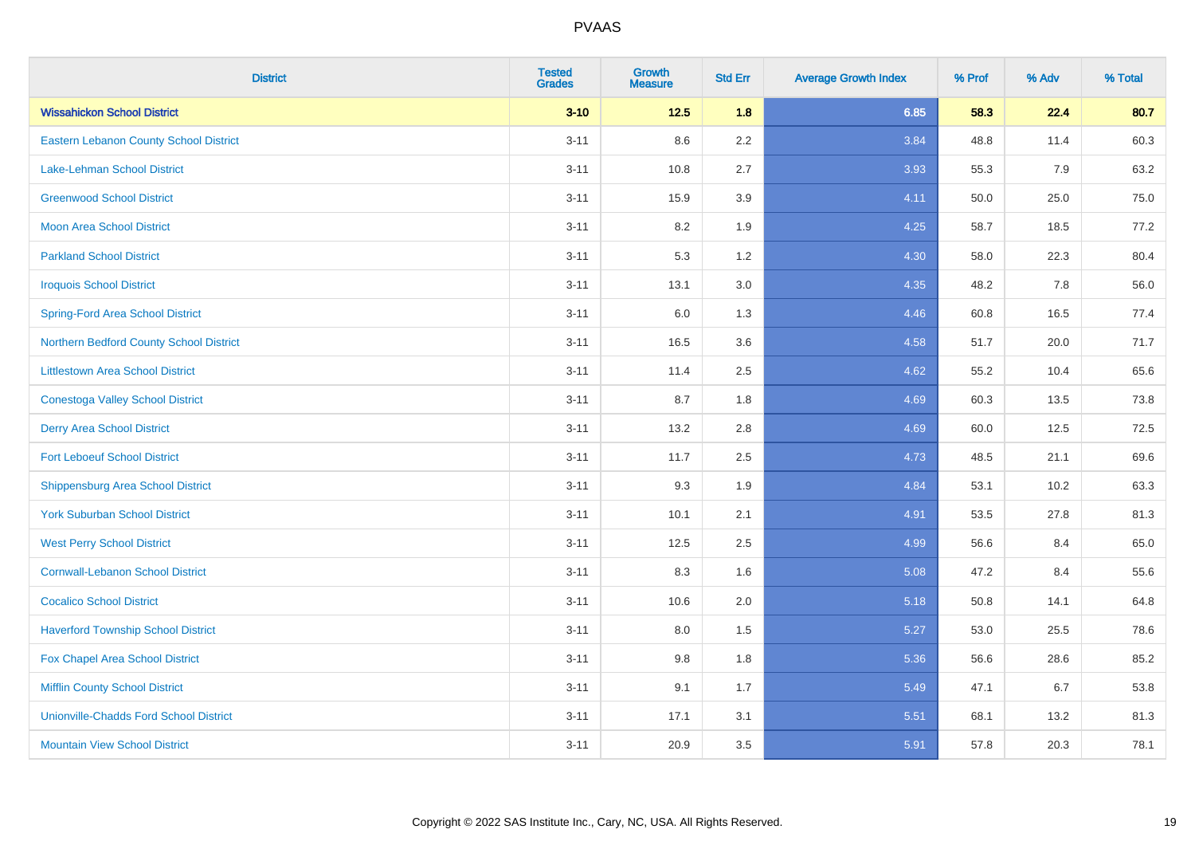| <b>District</b>                               | <b>Tested</b><br><b>Grades</b> | <b>Growth</b><br><b>Measure</b> | <b>Std Err</b> | <b>Average Growth Index</b> | % Prof | % Adv | % Total |
|-----------------------------------------------|--------------------------------|---------------------------------|----------------|-----------------------------|--------|-------|---------|
| <b>Wissahickon School District</b>            | $3 - 10$                       | $12.5$                          | 1.8            | 6.85                        | 58.3   | 22.4  | 80.7    |
| Eastern Lebanon County School District        | $3 - 11$                       | 8.6                             | 2.2            | 3.84                        | 48.8   | 11.4  | 60.3    |
| <b>Lake-Lehman School District</b>            | $3 - 11$                       | 10.8                            | 2.7            | 3.93                        | 55.3   | 7.9   | 63.2    |
| <b>Greenwood School District</b>              | $3 - 11$                       | 15.9                            | 3.9            | 4.11                        | 50.0   | 25.0  | 75.0    |
| <b>Moon Area School District</b>              | $3 - 11$                       | 8.2                             | 1.9            | 4.25                        | 58.7   | 18.5  | 77.2    |
| <b>Parkland School District</b>               | $3 - 11$                       | 5.3                             | 1.2            | 4.30                        | 58.0   | 22.3  | 80.4    |
| <b>Iroquois School District</b>               | $3 - 11$                       | 13.1                            | 3.0            | 4.35                        | 48.2   | 7.8   | 56.0    |
| <b>Spring-Ford Area School District</b>       | $3 - 11$                       | 6.0                             | 1.3            | 4.46                        | 60.8   | 16.5  | 77.4    |
| Northern Bedford County School District       | $3 - 11$                       | 16.5                            | 3.6            | 4.58                        | 51.7   | 20.0  | 71.7    |
| <b>Littlestown Area School District</b>       | $3 - 11$                       | 11.4                            | 2.5            | 4.62                        | 55.2   | 10.4  | 65.6    |
| <b>Conestoga Valley School District</b>       | $3 - 11$                       | 8.7                             | 1.8            | 4.69                        | 60.3   | 13.5  | 73.8    |
| <b>Derry Area School District</b>             | $3 - 11$                       | 13.2                            | 2.8            | 4.69                        | 60.0   | 12.5  | 72.5    |
| <b>Fort Leboeuf School District</b>           | $3 - 11$                       | 11.7                            | 2.5            | 4.73                        | 48.5   | 21.1  | 69.6    |
| <b>Shippensburg Area School District</b>      | $3 - 11$                       | 9.3                             | 1.9            | 4.84                        | 53.1   | 10.2  | 63.3    |
| <b>York Suburban School District</b>          | $3 - 11$                       | 10.1                            | 2.1            | 4.91                        | 53.5   | 27.8  | 81.3    |
| <b>West Perry School District</b>             | $3 - 11$                       | 12.5                            | 2.5            | 4.99                        | 56.6   | 8.4   | 65.0    |
| <b>Cornwall-Lebanon School District</b>       | $3 - 11$                       | 8.3                             | 1.6            | 5.08                        | 47.2   | 8.4   | 55.6    |
| <b>Cocalico School District</b>               | $3 - 11$                       | 10.6                            | 2.0            | 5.18                        | 50.8   | 14.1  | 64.8    |
| <b>Haverford Township School District</b>     | $3 - 11$                       | 8.0                             | 1.5            | 5.27                        | 53.0   | 25.5  | 78.6    |
| Fox Chapel Area School District               | $3 - 11$                       | 9.8                             | 1.8            | 5.36                        | 56.6   | 28.6  | 85.2    |
| <b>Mifflin County School District</b>         | $3 - 11$                       | 9.1                             | 1.7            | 5.49                        | 47.1   | 6.7   | 53.8    |
| <b>Unionville-Chadds Ford School District</b> | $3 - 11$                       | 17.1                            | 3.1            | 5.51                        | 68.1   | 13.2  | 81.3    |
| <b>Mountain View School District</b>          | $3 - 11$                       | 20.9                            | 3.5            | 5.91                        | 57.8   | 20.3  | 78.1    |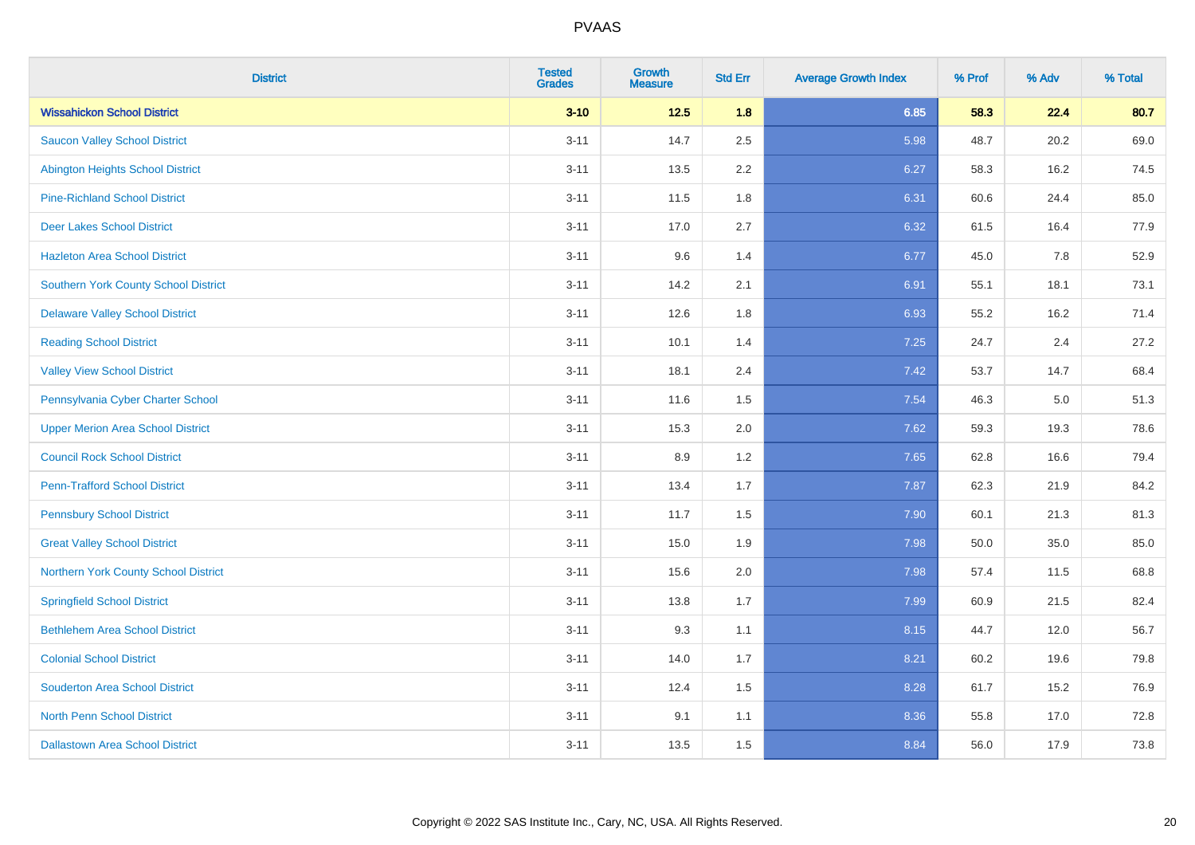| <b>District</b>                          | <b>Tested</b><br><b>Grades</b> | <b>Growth</b><br><b>Measure</b> | <b>Std Err</b> | <b>Average Growth Index</b> | % Prof | % Adv | % Total |
|------------------------------------------|--------------------------------|---------------------------------|----------------|-----------------------------|--------|-------|---------|
| <b>Wissahickon School District</b>       | $3 - 10$                       | $12.5$                          | 1.8            | 6.85                        | 58.3   | 22.4  | 80.7    |
| <b>Saucon Valley School District</b>     | $3 - 11$                       | 14.7                            | 2.5            | 5.98                        | 48.7   | 20.2  | 69.0    |
| <b>Abington Heights School District</b>  | $3 - 11$                       | 13.5                            | 2.2            | 6.27                        | 58.3   | 16.2  | 74.5    |
| <b>Pine-Richland School District</b>     | $3 - 11$                       | 11.5                            | 1.8            | 6.31                        | 60.6   | 24.4  | 85.0    |
| <b>Deer Lakes School District</b>        | $3 - 11$                       | 17.0                            | 2.7            | 6.32                        | 61.5   | 16.4  | 77.9    |
| <b>Hazleton Area School District</b>     | $3 - 11$                       | 9.6                             | 1.4            | 6.77                        | 45.0   | 7.8   | 52.9    |
| Southern York County School District     | $3 - 11$                       | 14.2                            | 2.1            | 6.91                        | 55.1   | 18.1  | 73.1    |
| <b>Delaware Valley School District</b>   | $3 - 11$                       | 12.6                            | 1.8            | 6.93                        | 55.2   | 16.2  | 71.4    |
| <b>Reading School District</b>           | $3 - 11$                       | 10.1                            | 1.4            | 7.25                        | 24.7   | 2.4   | 27.2    |
| <b>Valley View School District</b>       | $3 - 11$                       | 18.1                            | 2.4            | 7.42                        | 53.7   | 14.7  | 68.4    |
| Pennsylvania Cyber Charter School        | $3 - 11$                       | 11.6                            | 1.5            | 7.54                        | 46.3   | 5.0   | 51.3    |
| <b>Upper Merion Area School District</b> | $3 - 11$                       | 15.3                            | 2.0            | 7.62                        | 59.3   | 19.3  | 78.6    |
| <b>Council Rock School District</b>      | $3 - 11$                       | 8.9                             | 1.2            | 7.65                        | 62.8   | 16.6  | 79.4    |
| <b>Penn-Trafford School District</b>     | $3 - 11$                       | 13.4                            | 1.7            | 7.87                        | 62.3   | 21.9  | 84.2    |
| <b>Pennsbury School District</b>         | $3 - 11$                       | 11.7                            | 1.5            | 7.90                        | 60.1   | 21.3  | 81.3    |
| <b>Great Valley School District</b>      | $3 - 11$                       | 15.0                            | 1.9            | 7.98                        | 50.0   | 35.0  | 85.0    |
| Northern York County School District     | $3 - 11$                       | 15.6                            | 2.0            | 7.98                        | 57.4   | 11.5  | 68.8    |
| <b>Springfield School District</b>       | $3 - 11$                       | 13.8                            | 1.7            | 7.99                        | 60.9   | 21.5  | 82.4    |
| <b>Bethlehem Area School District</b>    | $3 - 11$                       | 9.3                             | 1.1            | 8.15                        | 44.7   | 12.0  | 56.7    |
| <b>Colonial School District</b>          | $3 - 11$                       | 14.0                            | 1.7            | 8.21                        | 60.2   | 19.6  | 79.8    |
| <b>Souderton Area School District</b>    | $3 - 11$                       | 12.4                            | 1.5            | 8.28                        | 61.7   | 15.2  | 76.9    |
| <b>North Penn School District</b>        | $3 - 11$                       | 9.1                             | 1.1            | 8.36                        | 55.8   | 17.0  | 72.8    |
| <b>Dallastown Area School District</b>   | $3 - 11$                       | 13.5                            | 1.5            | 8.84                        | 56.0   | 17.9  | 73.8    |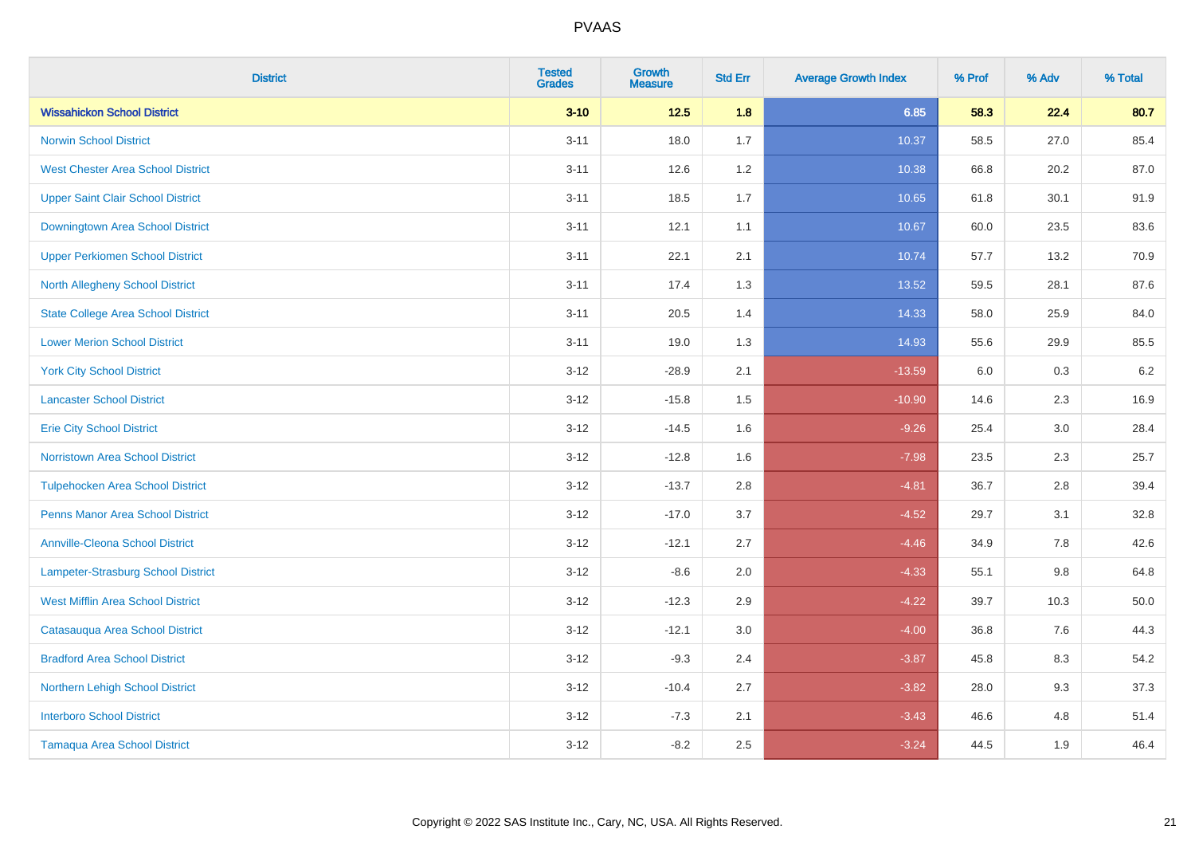| <b>District</b>                           | <b>Tested</b><br><b>Grades</b> | Growth<br><b>Measure</b> | <b>Std Err</b> | <b>Average Growth Index</b> | % Prof | % Adv   | % Total |
|-------------------------------------------|--------------------------------|--------------------------|----------------|-----------------------------|--------|---------|---------|
| <b>Wissahickon School District</b>        | $3 - 10$                       | $12.5$                   | 1.8            | 6.85                        | 58.3   | 22.4    | 80.7    |
| <b>Norwin School District</b>             | $3 - 11$                       | 18.0                     | 1.7            | 10.37                       | 58.5   | 27.0    | 85.4    |
| <b>West Chester Area School District</b>  | $3 - 11$                       | 12.6                     | 1.2            | 10.38                       | 66.8   | 20.2    | 87.0    |
| <b>Upper Saint Clair School District</b>  | $3 - 11$                       | 18.5                     | 1.7            | 10.65                       | 61.8   | 30.1    | 91.9    |
| Downingtown Area School District          | $3 - 11$                       | 12.1                     | 1.1            | 10.67                       | 60.0   | 23.5    | 83.6    |
| <b>Upper Perkiomen School District</b>    | $3 - 11$                       | 22.1                     | 2.1            | 10.74                       | 57.7   | 13.2    | 70.9    |
| <b>North Allegheny School District</b>    | $3 - 11$                       | 17.4                     | 1.3            | 13.52                       | 59.5   | 28.1    | 87.6    |
| <b>State College Area School District</b> | $3 - 11$                       | 20.5                     | 1.4            | 14.33                       | 58.0   | 25.9    | 84.0    |
| <b>Lower Merion School District</b>       | $3 - 11$                       | 19.0                     | 1.3            | 14.93                       | 55.6   | 29.9    | 85.5    |
| <b>York City School District</b>          | $3 - 12$                       | $-28.9$                  | 2.1            | $-13.59$                    | 6.0    | 0.3     | $6.2\,$ |
| <b>Lancaster School District</b>          | $3 - 12$                       | $-15.8$                  | 1.5            | $-10.90$                    | 14.6   | 2.3     | 16.9    |
| <b>Erie City School District</b>          | $3 - 12$                       | $-14.5$                  | 1.6            | $-9.26$                     | 25.4   | 3.0     | 28.4    |
| Norristown Area School District           | $3 - 12$                       | $-12.8$                  | 1.6            | $-7.98$                     | 23.5   | 2.3     | 25.7    |
| <b>Tulpehocken Area School District</b>   | $3 - 12$                       | $-13.7$                  | 2.8            | $-4.81$                     | 36.7   | 2.8     | 39.4    |
| <b>Penns Manor Area School District</b>   | $3 - 12$                       | $-17.0$                  | 3.7            | $-4.52$                     | 29.7   | 3.1     | 32.8    |
| <b>Annville-Cleona School District</b>    | $3 - 12$                       | $-12.1$                  | 2.7            | $-4.46$                     | 34.9   | $7.8\,$ | 42.6    |
| Lampeter-Strasburg School District        | $3 - 12$                       | $-8.6$                   | 2.0            | $-4.33$                     | 55.1   | 9.8     | 64.8    |
| <b>West Mifflin Area School District</b>  | $3 - 12$                       | $-12.3$                  | 2.9            | $-4.22$                     | 39.7   | 10.3    | 50.0    |
| Catasauqua Area School District           | $3 - 12$                       | $-12.1$                  | 3.0            | $-4.00$                     | 36.8   | 7.6     | 44.3    |
| <b>Bradford Area School District</b>      | $3 - 12$                       | $-9.3$                   | 2.4            | $-3.87$                     | 45.8   | 8.3     | 54.2    |
| Northern Lehigh School District           | $3 - 12$                       | $-10.4$                  | 2.7            | $-3.82$                     | 28.0   | 9.3     | 37.3    |
| <b>Interboro School District</b>          | $3 - 12$                       | $-7.3$                   | 2.1            | $-3.43$                     | 46.6   | 4.8     | 51.4    |
| <b>Tamaqua Area School District</b>       | $3 - 12$                       | $-8.2$                   | 2.5            | $-3.24$                     | 44.5   | 1.9     | 46.4    |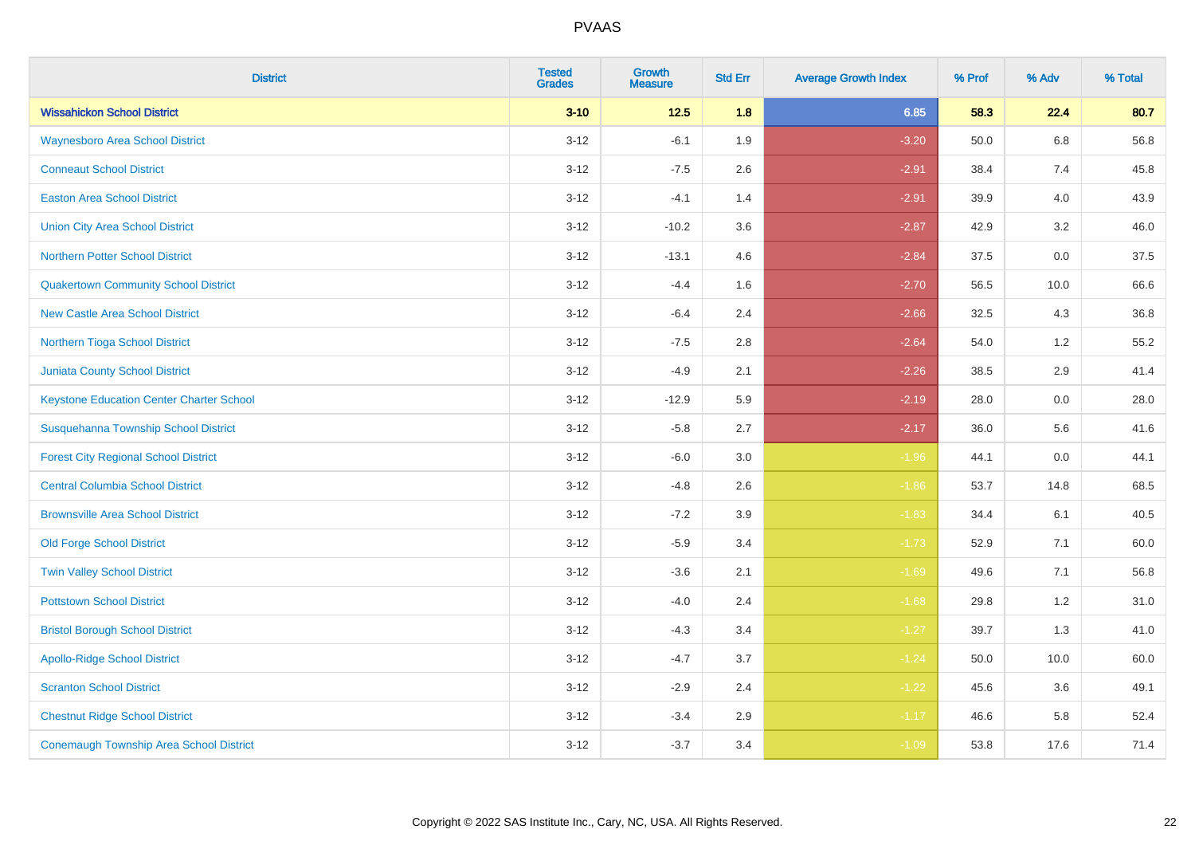| <b>District</b>                                 | <b>Tested</b><br><b>Grades</b> | <b>Growth</b><br><b>Measure</b> | <b>Std Err</b> | <b>Average Growth Index</b> | % Prof | % Adv   | % Total |
|-------------------------------------------------|--------------------------------|---------------------------------|----------------|-----------------------------|--------|---------|---------|
| <b>Wissahickon School District</b>              | $3 - 10$                       | $12.5$                          | 1.8            | 6.85                        | 58.3   | 22.4    | 80.7    |
| <b>Waynesboro Area School District</b>          | $3 - 12$                       | $-6.1$                          | 1.9            | $-3.20$                     | 50.0   | $6.8\,$ | 56.8    |
| <b>Conneaut School District</b>                 | $3 - 12$                       | $-7.5$                          | 2.6            | $-2.91$                     | 38.4   | 7.4     | 45.8    |
| <b>Easton Area School District</b>              | $3 - 12$                       | $-4.1$                          | 1.4            | $-2.91$                     | 39.9   | 4.0     | 43.9    |
| <b>Union City Area School District</b>          | $3-12$                         | $-10.2$                         | 3.6            | $-2.87$                     | 42.9   | 3.2     | 46.0    |
| <b>Northern Potter School District</b>          | $3 - 12$                       | $-13.1$                         | 4.6            | $-2.84$                     | 37.5   | 0.0     | 37.5    |
| <b>Quakertown Community School District</b>     | $3 - 12$                       | $-4.4$                          | 1.6            | $-2.70$                     | 56.5   | 10.0    | 66.6    |
| <b>New Castle Area School District</b>          | $3 - 12$                       | $-6.4$                          | 2.4            | $-2.66$                     | 32.5   | 4.3     | 36.8    |
| Northern Tioga School District                  | $3 - 12$                       | $-7.5$                          | 2.8            | $-2.64$                     | 54.0   | 1.2     | 55.2    |
| <b>Juniata County School District</b>           | $3 - 12$                       | $-4.9$                          | 2.1            | $-2.26$                     | 38.5   | 2.9     | 41.4    |
| <b>Keystone Education Center Charter School</b> | $3 - 12$                       | $-12.9$                         | 5.9            | $-2.19$                     | 28.0   | 0.0     | 28.0    |
| Susquehanna Township School District            | $3 - 12$                       | $-5.8$                          | 2.7            | $-2.17$                     | 36.0   | 5.6     | 41.6    |
| <b>Forest City Regional School District</b>     | $3 - 12$                       | $-6.0$                          | $3.0\,$        | $-1.96$                     | 44.1   | $0.0\,$ | 44.1    |
| <b>Central Columbia School District</b>         | $3 - 12$                       | $-4.8$                          | 2.6            | $-1.86$                     | 53.7   | 14.8    | 68.5    |
| <b>Brownsville Area School District</b>         | $3 - 12$                       | $-7.2$                          | 3.9            | $-1.83$                     | 34.4   | 6.1     | 40.5    |
| <b>Old Forge School District</b>                | $3 - 12$                       | $-5.9$                          | 3.4            | $-1.73$                     | 52.9   | 7.1     | 60.0    |
| <b>Twin Valley School District</b>              | $3 - 12$                       | $-3.6$                          | 2.1            | $-1.69$                     | 49.6   | 7.1     | 56.8    |
| <b>Pottstown School District</b>                | $3 - 12$                       | $-4.0$                          | 2.4            | $-1.68$                     | 29.8   | 1.2     | 31.0    |
| <b>Bristol Borough School District</b>          | $3 - 12$                       | $-4.3$                          | 3.4            | $-1.27$                     | 39.7   | 1.3     | 41.0    |
| <b>Apollo-Ridge School District</b>             | $3 - 12$                       | $-4.7$                          | 3.7            | $-1.24$                     | 50.0   | 10.0    | 60.0    |
| <b>Scranton School District</b>                 | $3-12$                         | $-2.9$                          | 2.4            | $-1.22$                     | 45.6   | 3.6     | 49.1    |
| <b>Chestnut Ridge School District</b>           | $3 - 12$                       | $-3.4$                          | 2.9            | $-1.17$                     | 46.6   | 5.8     | 52.4    |
| <b>Conemaugh Township Area School District</b>  | $3 - 12$                       | $-3.7$                          | 3.4            | $-1.09$                     | 53.8   | 17.6    | 71.4    |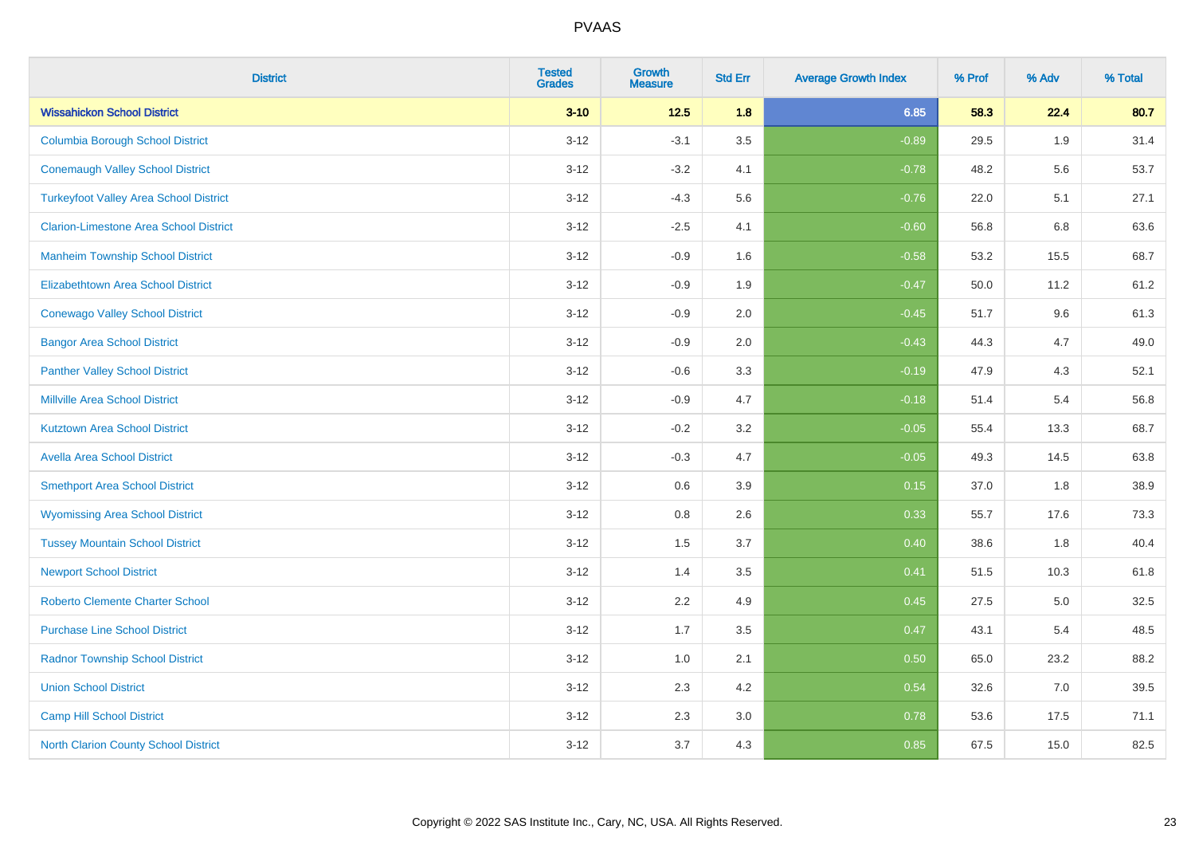| <b>District</b>                               | <b>Tested</b><br><b>Grades</b> | <b>Growth</b><br><b>Measure</b> | <b>Std Err</b> | <b>Average Growth Index</b> | % Prof | % Adv | % Total |
|-----------------------------------------------|--------------------------------|---------------------------------|----------------|-----------------------------|--------|-------|---------|
| <b>Wissahickon School District</b>            | $3 - 10$                       | $12.5$                          | 1.8            | 6.85                        | 58.3   | 22.4  | 80.7    |
| <b>Columbia Borough School District</b>       | $3 - 12$                       | $-3.1$                          | 3.5            | $-0.89$                     | 29.5   | 1.9   | 31.4    |
| <b>Conemaugh Valley School District</b>       | $3 - 12$                       | $-3.2$                          | 4.1            | $-0.78$                     | 48.2   | 5.6   | 53.7    |
| <b>Turkeyfoot Valley Area School District</b> | $3 - 12$                       | $-4.3$                          | 5.6            | $-0.76$                     | 22.0   | 5.1   | 27.1    |
| <b>Clarion-Limestone Area School District</b> | $3 - 12$                       | $-2.5$                          | 4.1            | $-0.60$                     | 56.8   | 6.8   | 63.6    |
| <b>Manheim Township School District</b>       | $3-12$                         | $-0.9$                          | 1.6            | $-0.58$                     | 53.2   | 15.5  | 68.7    |
| <b>Elizabethtown Area School District</b>     | $3 - 12$                       | $-0.9$                          | 1.9            | $-0.47$                     | 50.0   | 11.2  | 61.2    |
| <b>Conewago Valley School District</b>        | $3 - 12$                       | $-0.9$                          | 2.0            | $-0.45$                     | 51.7   | 9.6   | 61.3    |
| <b>Bangor Area School District</b>            | $3 - 12$                       | $-0.9$                          | 2.0            | $-0.43$                     | 44.3   | 4.7   | 49.0    |
| <b>Panther Valley School District</b>         | $3 - 12$                       | $-0.6$                          | 3.3            | $-0.19$                     | 47.9   | 4.3   | 52.1    |
| <b>Millville Area School District</b>         | $3 - 12$                       | $-0.9$                          | 4.7            | $-0.18$                     | 51.4   | 5.4   | 56.8    |
| <b>Kutztown Area School District</b>          | $3 - 12$                       | $-0.2$                          | 3.2            | $-0.05$                     | 55.4   | 13.3  | 68.7    |
| <b>Avella Area School District</b>            | $3 - 12$                       | $-0.3$                          | 4.7            | $-0.05$                     | 49.3   | 14.5  | 63.8    |
| <b>Smethport Area School District</b>         | $3 - 12$                       | 0.6                             | 3.9            | 0.15                        | 37.0   | 1.8   | 38.9    |
| <b>Wyomissing Area School District</b>        | $3 - 12$                       | $0.8\,$                         | 2.6            | 0.33                        | 55.7   | 17.6  | 73.3    |
| <b>Tussey Mountain School District</b>        | $3 - 12$                       | 1.5                             | 3.7            | 0.40                        | 38.6   | 1.8   | 40.4    |
| <b>Newport School District</b>                | $3 - 12$                       | 1.4                             | 3.5            | 0.41                        | 51.5   | 10.3  | 61.8    |
| <b>Roberto Clemente Charter School</b>        | $3 - 12$                       | 2.2                             | 4.9            | 0.45                        | 27.5   | 5.0   | 32.5    |
| <b>Purchase Line School District</b>          | $3 - 12$                       | 1.7                             | 3.5            | 0.47                        | 43.1   | 5.4   | 48.5    |
| <b>Radnor Township School District</b>        | $3 - 12$                       | 1.0                             | 2.1            | 0.50                        | 65.0   | 23.2  | 88.2    |
| <b>Union School District</b>                  | $3 - 12$                       | 2.3                             | 4.2            | 0.54                        | 32.6   | 7.0   | 39.5    |
| Camp Hill School District                     | $3 - 12$                       | 2.3                             | 3.0            | 0.78                        | 53.6   | 17.5  | 71.1    |
| <b>North Clarion County School District</b>   | $3 - 12$                       | 3.7                             | 4.3            | 0.85                        | 67.5   | 15.0  | 82.5    |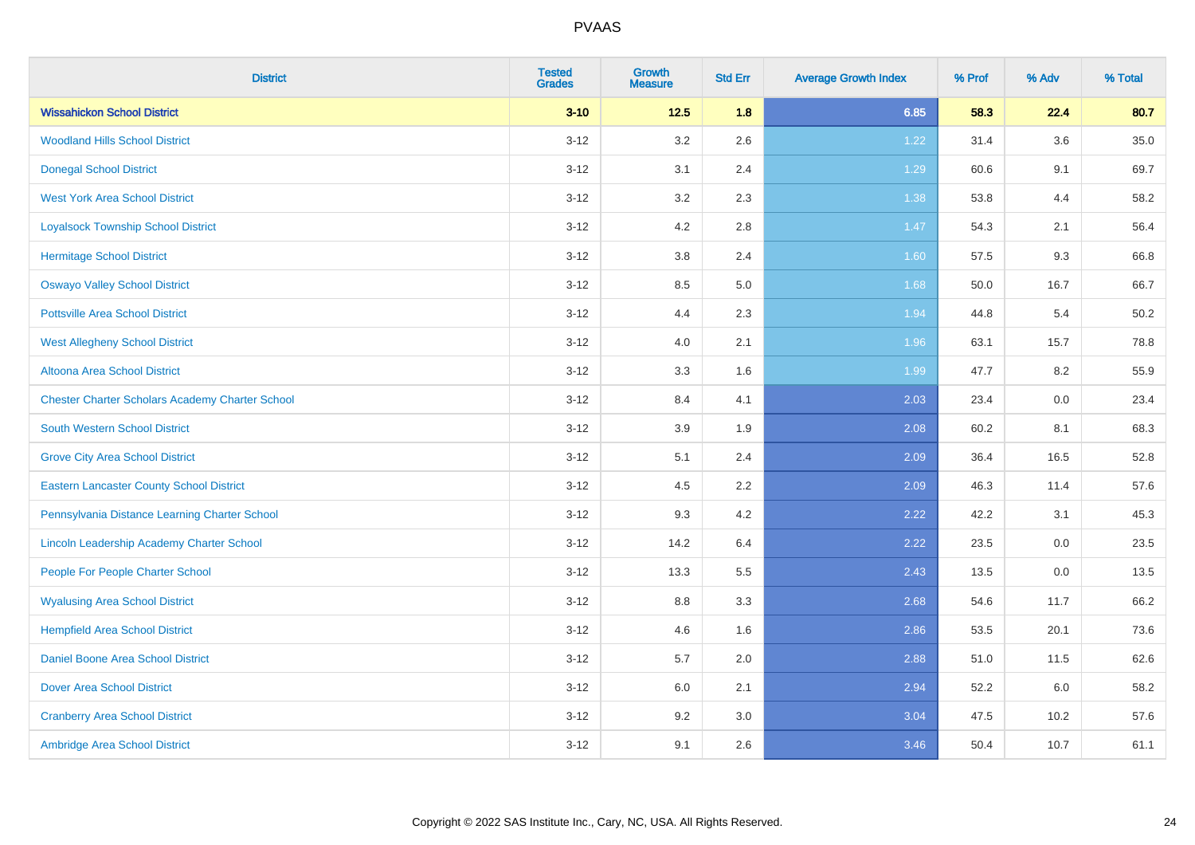| <b>District</b>                                        | <b>Tested</b><br><b>Grades</b> | <b>Growth</b><br><b>Measure</b> | <b>Std Err</b> | <b>Average Growth Index</b> | % Prof | % Adv   | % Total  |
|--------------------------------------------------------|--------------------------------|---------------------------------|----------------|-----------------------------|--------|---------|----------|
| <b>Wissahickon School District</b>                     | $3 - 10$                       | $12.5$                          | 1.8            | 6.85                        | 58.3   | 22.4    | 80.7     |
| <b>Woodland Hills School District</b>                  | $3 - 12$                       | 3.2                             | 2.6            | 1.22                        | 31.4   | $3.6\,$ | $35.0\,$ |
| <b>Donegal School District</b>                         | $3 - 12$                       | 3.1                             | 2.4            | 1.29                        | 60.6   | 9.1     | 69.7     |
| <b>West York Area School District</b>                  | $3 - 12$                       | 3.2                             | 2.3            | 1.38                        | 53.8   | 4.4     | 58.2     |
| <b>Loyalsock Township School District</b>              | $3 - 12$                       | 4.2                             | 2.8            | $1.47$                      | 54.3   | 2.1     | 56.4     |
| <b>Hermitage School District</b>                       | $3 - 12$                       | 3.8                             | 2.4            | 1.60                        | 57.5   | 9.3     | 66.8     |
| <b>Oswayo Valley School District</b>                   | $3 - 12$                       | 8.5                             | 5.0            | 1.68                        | 50.0   | 16.7    | 66.7     |
| <b>Pottsville Area School District</b>                 | $3 - 12$                       | 4.4                             | 2.3            | 1.94                        | 44.8   | 5.4     | 50.2     |
| <b>West Allegheny School District</b>                  | $3 - 12$                       | 4.0                             | 2.1            | 1.96                        | 63.1   | 15.7    | 78.8     |
| Altoona Area School District                           | $3 - 12$                       | 3.3                             | 1.6            | 1.99                        | 47.7   | 8.2     | 55.9     |
| <b>Chester Charter Scholars Academy Charter School</b> | $3 - 12$                       | 8.4                             | 4.1            | 2.03                        | 23.4   | 0.0     | 23.4     |
| South Western School District                          | $3 - 12$                       | 3.9                             | 1.9            | 2.08                        | 60.2   | 8.1     | 68.3     |
| <b>Grove City Area School District</b>                 | $3 - 12$                       | 5.1                             | 2.4            | 2.09                        | 36.4   | 16.5    | 52.8     |
| <b>Eastern Lancaster County School District</b>        | $3 - 12$                       | 4.5                             | 2.2            | 2.09                        | 46.3   | 11.4    | 57.6     |
| Pennsylvania Distance Learning Charter School          | $3 - 12$                       | 9.3                             | 4.2            | 2.22                        | 42.2   | 3.1     | 45.3     |
| Lincoln Leadership Academy Charter School              | $3 - 12$                       | 14.2                            | 6.4            | 2.22                        | 23.5   | $0.0\,$ | 23.5     |
| People For People Charter School                       | $3 - 12$                       | 13.3                            | 5.5            | 2.43                        | 13.5   | 0.0     | 13.5     |
| <b>Wyalusing Area School District</b>                  | $3 - 12$                       | 8.8                             | 3.3            | 2.68                        | 54.6   | 11.7    | 66.2     |
| <b>Hempfield Area School District</b>                  | $3 - 12$                       | 4.6                             | 1.6            | 2.86                        | 53.5   | 20.1    | 73.6     |
| <b>Daniel Boone Area School District</b>               | $3 - 12$                       | 5.7                             | 2.0            | 2.88                        | 51.0   | 11.5    | 62.6     |
| <b>Dover Area School District</b>                      | $3 - 12$                       | 6.0                             | 2.1            | 2.94                        | 52.2   | 6.0     | 58.2     |
| <b>Cranberry Area School District</b>                  | $3 - 12$                       | 9.2                             | 3.0            | 3.04                        | 47.5   | 10.2    | 57.6     |
| Ambridge Area School District                          | $3 - 12$                       | 9.1                             | 2.6            | 3.46                        | 50.4   | 10.7    | 61.1     |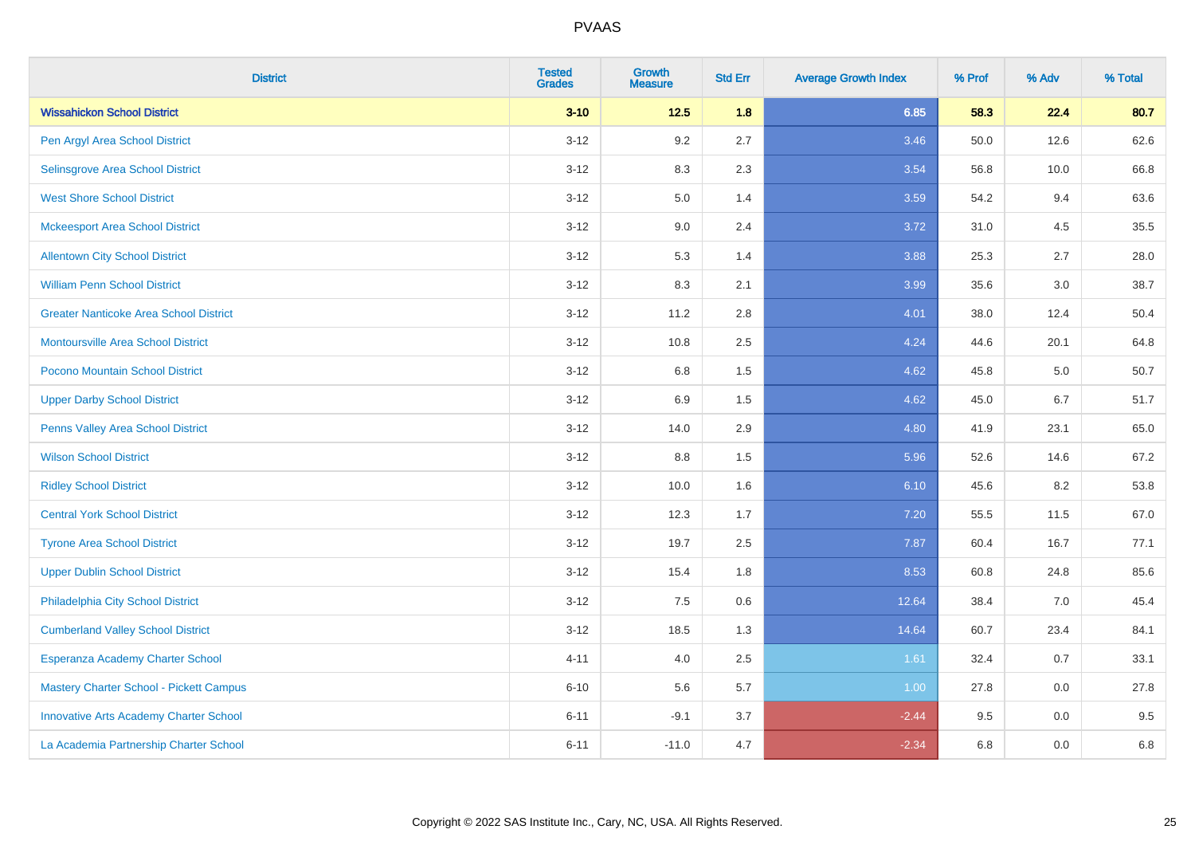| <b>District</b>                               | <b>Tested</b><br><b>Grades</b> | <b>Growth</b><br><b>Measure</b> | <b>Std Err</b> | <b>Average Growth Index</b> | % Prof | % Adv | % Total |
|-----------------------------------------------|--------------------------------|---------------------------------|----------------|-----------------------------|--------|-------|---------|
| <b>Wissahickon School District</b>            | $3 - 10$                       | $12.5$                          | 1.8            | 6.85                        | 58.3   | 22.4  | 80.7    |
| Pen Argyl Area School District                | $3 - 12$                       | 9.2                             | 2.7            | 3.46                        | 50.0   | 12.6  | 62.6    |
| Selinsgrove Area School District              | $3 - 12$                       | 8.3                             | 2.3            | 3.54                        | 56.8   | 10.0  | 66.8    |
| <b>West Shore School District</b>             | $3 - 12$                       | 5.0                             | 1.4            | 3.59                        | 54.2   | 9.4   | 63.6    |
| <b>Mckeesport Area School District</b>        | $3 - 12$                       | 9.0                             | 2.4            | 3.72                        | 31.0   | 4.5   | 35.5    |
| <b>Allentown City School District</b>         | $3 - 12$                       | 5.3                             | 1.4            | 3.88                        | 25.3   | 2.7   | 28.0    |
| <b>William Penn School District</b>           | $3 - 12$                       | 8.3                             | 2.1            | 3.99                        | 35.6   | 3.0   | 38.7    |
| <b>Greater Nanticoke Area School District</b> | $3 - 12$                       | 11.2                            | 2.8            | 4.01                        | 38.0   | 12.4  | 50.4    |
| Montoursville Area School District            | $3 - 12$                       | 10.8                            | 2.5            | 4.24                        | 44.6   | 20.1  | 64.8    |
| Pocono Mountain School District               | $3 - 12$                       | 6.8                             | 1.5            | 4.62                        | 45.8   | 5.0   | 50.7    |
| <b>Upper Darby School District</b>            | $3 - 12$                       | 6.9                             | 1.5            | 4.62                        | 45.0   | 6.7   | 51.7    |
| Penns Valley Area School District             | $3 - 12$                       | 14.0                            | 2.9            | 4.80                        | 41.9   | 23.1  | 65.0    |
| <b>Wilson School District</b>                 | $3 - 12$                       | $8.8\,$                         | 1.5            | 5.96                        | 52.6   | 14.6  | 67.2    |
| <b>Ridley School District</b>                 | $3 - 12$                       | 10.0                            | 1.6            | 6.10                        | 45.6   | 8.2   | 53.8    |
| <b>Central York School District</b>           | $3 - 12$                       | 12.3                            | 1.7            | 7.20                        | 55.5   | 11.5  | 67.0    |
| <b>Tyrone Area School District</b>            | $3 - 12$                       | 19.7                            | 2.5            | 7.87                        | 60.4   | 16.7  | 77.1    |
| <b>Upper Dublin School District</b>           | $3 - 12$                       | 15.4                            | 1.8            | 8.53                        | 60.8   | 24.8  | 85.6    |
| Philadelphia City School District             | $3 - 12$                       | 7.5                             | 0.6            | 12.64                       | 38.4   | 7.0   | 45.4    |
| <b>Cumberland Valley School District</b>      | $3 - 12$                       | 18.5                            | 1.3            | 14.64                       | 60.7   | 23.4  | 84.1    |
| Esperanza Academy Charter School              | $4 - 11$                       | 4.0                             | 2.5            | 1.61                        | 32.4   | 0.7   | 33.1    |
| Mastery Charter School - Pickett Campus       | $6 - 10$                       | 5.6                             | 5.7            | 1.00                        | 27.8   | 0.0   | 27.8    |
| <b>Innovative Arts Academy Charter School</b> | $6 - 11$                       | $-9.1$                          | 3.7            | $-2.44$                     | 9.5    | 0.0   | 9.5     |
| La Academia Partnership Charter School        | $6 - 11$                       | $-11.0$                         | 4.7            | $-2.34$                     | 6.8    | 0.0   | 6.8     |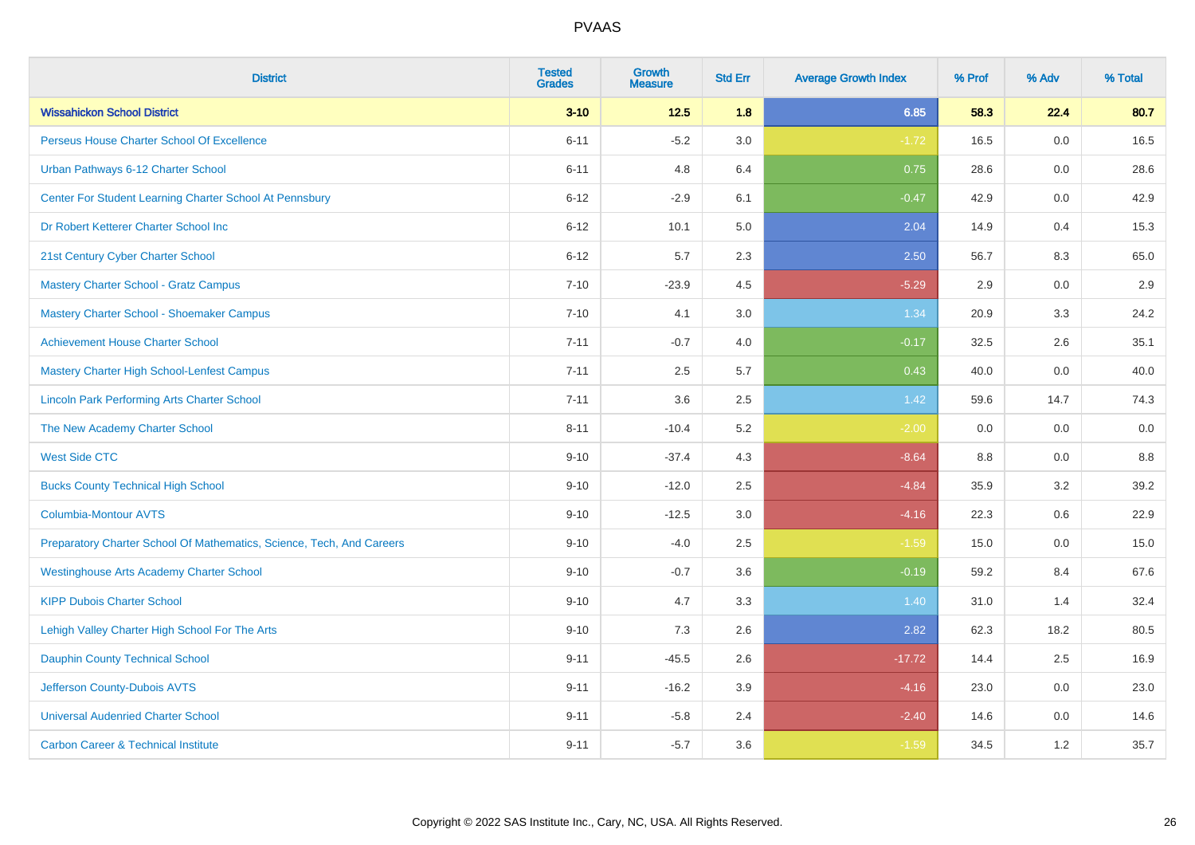| <b>District</b>                                                       | <b>Tested</b><br><b>Grades</b> | <b>Growth</b><br><b>Measure</b> | <b>Std Err</b> | <b>Average Growth Index</b> | % Prof | % Adv | % Total |
|-----------------------------------------------------------------------|--------------------------------|---------------------------------|----------------|-----------------------------|--------|-------|---------|
| <b>Wissahickon School District</b>                                    | $3 - 10$                       | $12.5$                          | 1.8            | 6.85                        | 58.3   | 22.4  | 80.7    |
| Perseus House Charter School Of Excellence                            | $6 - 11$                       | $-5.2$                          | 3.0            | $-1.72$                     | 16.5   | 0.0   | 16.5    |
| Urban Pathways 6-12 Charter School                                    | $6 - 11$                       | 4.8                             | 6.4            | 0.75                        | 28.6   | 0.0   | 28.6    |
| Center For Student Learning Charter School At Pennsbury               | $6 - 12$                       | $-2.9$                          | 6.1            | $-0.47$                     | 42.9   | 0.0   | 42.9    |
| Dr Robert Ketterer Charter School Inc                                 | $6 - 12$                       | 10.1                            | 5.0            | 2.04                        | 14.9   | 0.4   | 15.3    |
| 21st Century Cyber Charter School                                     | $6 - 12$                       | 5.7                             | 2.3            | 2.50                        | 56.7   | 8.3   | 65.0    |
| <b>Mastery Charter School - Gratz Campus</b>                          | $7 - 10$                       | $-23.9$                         | 4.5            | $-5.29$                     | 2.9    | 0.0   | 2.9     |
| Mastery Charter School - Shoemaker Campus                             | $7 - 10$                       | 4.1                             | 3.0            | 1.34                        | 20.9   | 3.3   | 24.2    |
| <b>Achievement House Charter School</b>                               | $7 - 11$                       | $-0.7$                          | 4.0            | $-0.17$                     | 32.5   | 2.6   | 35.1    |
| <b>Mastery Charter High School-Lenfest Campus</b>                     | $7 - 11$                       | 2.5                             | 5.7            | 0.43                        | 40.0   | 0.0   | 40.0    |
| <b>Lincoln Park Performing Arts Charter School</b>                    | $7 - 11$                       | 3.6                             | 2.5            | 1.42                        | 59.6   | 14.7  | 74.3    |
| The New Academy Charter School                                        | $8 - 11$                       | $-10.4$                         | 5.2            | $-2.00$                     | 0.0    | 0.0   | 0.0     |
| <b>West Side CTC</b>                                                  | $9 - 10$                       | $-37.4$                         | 4.3            | $-8.64$                     | 8.8    | 0.0   | 8.8     |
| <b>Bucks County Technical High School</b>                             | $9 - 10$                       | $-12.0$                         | 2.5            | $-4.84$                     | 35.9   | 3.2   | 39.2    |
| <b>Columbia-Montour AVTS</b>                                          | $9 - 10$                       | $-12.5$                         | 3.0            | $-4.16$                     | 22.3   | 0.6   | 22.9    |
| Preparatory Charter School Of Mathematics, Science, Tech, And Careers | $9 - 10$                       | $-4.0$                          | 2.5            | $-1.59$                     | 15.0   | 0.0   | 15.0    |
| <b>Westinghouse Arts Academy Charter School</b>                       | $9 - 10$                       | $-0.7$                          | 3.6            | $-0.19$                     | 59.2   | 8.4   | 67.6    |
| <b>KIPP Dubois Charter School</b>                                     | $9 - 10$                       | 4.7                             | 3.3            | 1.40                        | 31.0   | 1.4   | 32.4    |
| Lehigh Valley Charter High School For The Arts                        | $9 - 10$                       | 7.3                             | 2.6            | 2.82                        | 62.3   | 18.2  | 80.5    |
| <b>Dauphin County Technical School</b>                                | $9 - 11$                       | $-45.5$                         | 2.6            | $-17.72$                    | 14.4   | 2.5   | 16.9    |
| Jefferson County-Dubois AVTS                                          | $9 - 11$                       | $-16.2$                         | 3.9            | $-4.16$                     | 23.0   | 0.0   | 23.0    |
| <b>Universal Audenried Charter School</b>                             | $9 - 11$                       | $-5.8$                          | 2.4            | $-2.40$                     | 14.6   | 0.0   | 14.6    |
| <b>Carbon Career &amp; Technical Institute</b>                        | $9 - 11$                       | $-5.7$                          | 3.6            | $-1.59$                     | 34.5   | 1.2   | 35.7    |